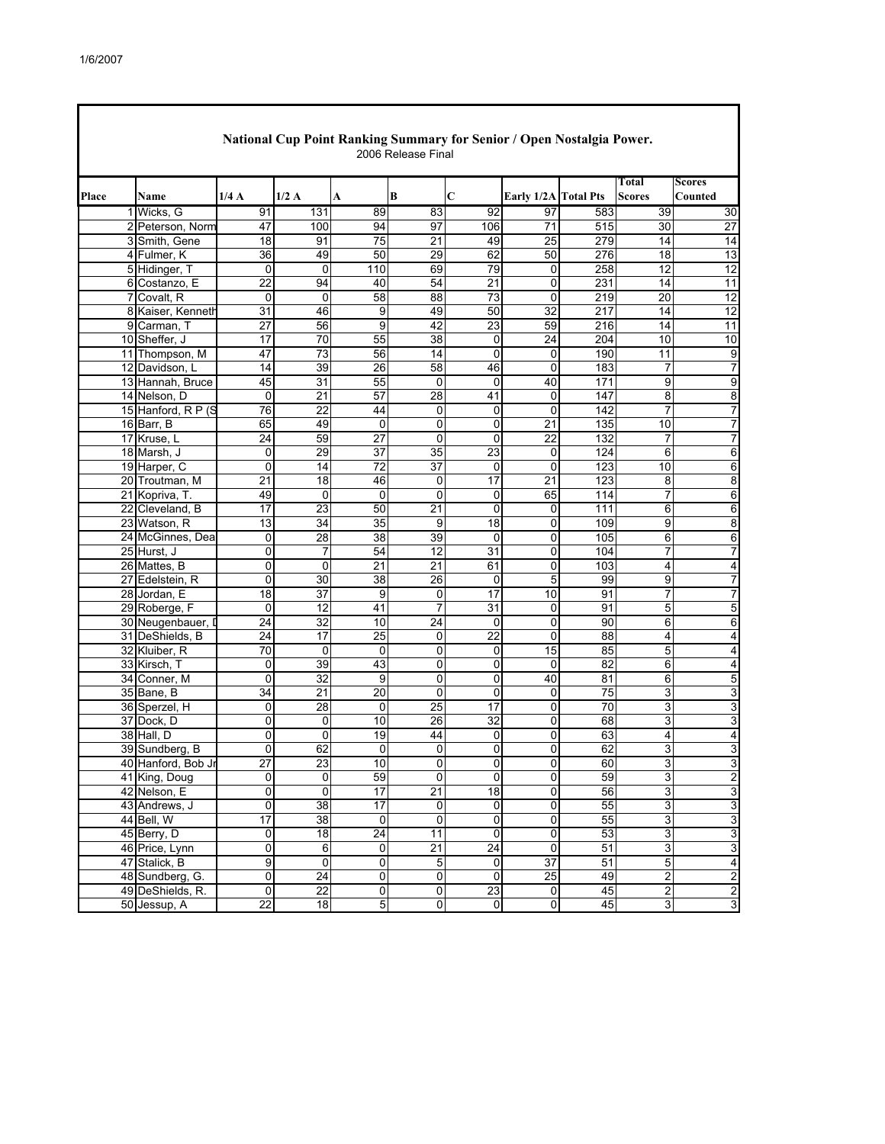I

| Total<br>Scores<br>1/4A<br>1/2A<br>В<br>C<br>Place<br>Early 1/2A Total Pts<br><b>Scores</b><br>Counted<br>Name<br>A<br>91<br>131<br>89<br>83<br>97<br>583<br>1 Wicks, G<br>92<br>39<br>47<br>94<br>97<br>106<br>$\overline{71}$<br>515<br>30<br>2<br>Peterson, Norm<br>100<br>3<br>Smith, Gene<br>18<br>91<br>75<br>21<br>49<br>25<br>279<br>14<br>36<br>49<br>50<br>29<br>62<br>50<br>276<br>18<br>Fulmer, K<br>4<br>79<br>258<br>$\overline{12}$<br>5 Hidinger, T<br>0<br>0<br>110<br>69<br>0<br>$\overline{22}$<br>94<br>54<br>$\overline{21}$<br>231<br>6 Costanzo, E<br>40<br>0<br>14<br>58<br>88<br>73<br>219<br>20<br>Covalt, R<br>$\mathbf{0}$<br>$\Omega$<br>$\Omega$<br>7<br>$\overline{31}$<br>46<br>50<br>$\overline{32}$<br>$\overline{217}$<br>12<br>8 Kaiser, Kenneth<br>9<br>49<br>14<br>23<br>27<br>42<br>59<br>9 Carman, T<br>56<br>9<br>216<br>14<br>17<br>70<br>55<br>38<br>0<br>24<br>204<br>10<br>10 Sheffer, J<br>47<br>73<br>11 Thompson, M<br>56<br>14<br>0<br>$\Omega$<br>190<br>11<br>$\overline{7}$<br>14<br>26<br>58<br>46<br>183<br>$\overline{7}$<br>12 Davidson, L<br>39<br>0<br>45<br>31<br>55<br>$\mathbf 0$<br>171<br>9<br>13 Hannah, Bruce<br>0<br>40<br>8<br>14 Nelson, D<br>0<br>21<br>57<br>28<br>147<br>41<br>0<br>7<br>15 Hanford, R P (S<br>76<br>$\overline{22}$<br>142<br>$\overline{7}$<br>44<br>0<br>0<br>$\mathbf{0}$<br>$\overline{0}$<br>$\overline{21}$<br>65<br>49<br>$\mathbf 0$<br>0<br>135<br>10<br>$\overline{7}$<br>16 Barr, B<br>$\overline{27}$<br>$\overline{7}$<br>17 Kruse, L<br>24<br>59<br>0<br>0<br>22<br>132<br>7<br>29<br>$\mathbf 0$<br>$\overline{37}$<br>35<br>23<br>124<br>6<br>6<br>18 Marsh, J<br>0<br>$\overline{72}$<br>19 Harper, C<br>0<br>14<br>37<br>0<br>$\Omega$<br>123<br>10<br>6<br>$\overline{21}$<br>17<br>123<br>$\overline{18}$<br>46<br>$\overline{0}$<br>$\overline{21}$<br>8<br>20 Troutman, M<br>8<br>49<br>7<br>21 Kopriva, T.<br>0<br>0<br>0<br>0<br>65<br>114<br>6<br>$\overline{17}$<br>$\overline{23}$<br>21<br>$\mathbf 0$<br>6<br>22 Cleveland, B<br>50<br>0<br>111<br>6<br>13<br>34<br>35<br>9<br>18<br>9<br>8<br>23 Watson, R<br>0<br>109<br>24 McGinnes, Dea<br>28<br>38<br>39<br>0<br>105<br>6<br>0<br>0<br>6<br>$\overline{7}$<br>25 Hurst, J<br>0<br>54<br>12<br>31<br>104<br>7<br>7<br>0<br>$\mathbf 0$<br>$\overline{21}$<br>$\overline{4}$<br>26 Mattes, B<br>0<br>21<br>61<br>103<br>$\overline{\mathbf{4}}$<br>0<br>0<br>30<br>38<br>26<br>5<br>9<br>$\overline{7}$<br>27 Edelstein, R<br>0<br>99<br>$\overline{7}$<br>18<br>$\overline{37}$<br>$\mathbf 0$<br>17<br>28 Jordan, E<br>9<br>10<br>91<br>7<br>29 Roberge, F<br>$\mathbf 0$<br>12<br>41<br>7<br>$\overline{31}$<br>91<br>5<br>$\overline{5}$<br>0<br>30 Neugenbauer, D<br>24<br>32<br>10<br>24<br>90<br>6<br>6<br>0<br>0<br>22<br>$\overline{24}$<br>$\overline{17}$<br>25<br>0<br>88<br>31 DeShields, B<br>0<br>4<br>4<br>$\overline{70}$<br>$\overline{0}$<br>32 Kluiber, R<br>0<br>85<br>5<br>0<br>0<br>15<br>4<br>39<br>43<br>0<br>82<br>0<br>0<br>6<br>33 Kirsch, T<br>0<br>4<br>5<br>32<br>9<br>0<br>81<br>34 Conner, M<br>$\mathbf{0}$<br>0<br>40<br>6<br>34<br>20<br>0<br>0<br>3<br>35 Bane, B<br>21<br>0<br>75<br>3<br>28<br>25<br>17<br>70<br>3<br>3<br>36 Sperzel, H<br>0<br>0<br>0<br>$\overline{32}$<br>3<br>0<br>0<br>10<br>26<br>68<br>3<br>37 Dock, D<br>0<br>38 Hall, D<br>0<br>19<br>63<br>0<br>44<br>0<br>0<br>4<br>4<br>62<br>$\mathbf 0$<br>62<br>0<br>0<br>0<br>3<br>3<br>39 Sundberg, B<br>0<br>27<br>$\overline{23}$<br>$\overline{10}$<br>0<br>0<br>60<br>3<br>40 Hanford, Bob Jr<br>0<br>3<br>41 King, Doug<br>$\mathbf{0}$<br>0<br>59<br>$\mathbf{0}$<br>$\mathbf{0}$<br>$\mathbf{0}$<br>59<br>$\mathbf{3}$<br>2<br>3<br>$\overline{0}$<br>17<br>18<br>56<br>3<br>$\mathbf 0$<br>$\overline{21}$<br>0<br>42 Nelson, E<br>$\overline{17}$<br>55<br>$\overline{3}$<br>43 Andrews, J<br>0<br>$\overline{38}$<br>$\overline{0}$<br>$\overline{\mathsf{o}}$<br>$\overline{\mathsf{o}}$<br>3<br>$\overline{17}$<br>38<br>55<br>3<br>44 Bell, W<br>$\bullet$<br>o<br>$\mathbf 0$<br>0<br>3<br>18<br>$\overline{0}$<br>53<br>3<br>$\overline{3}$<br>45 Berry, D<br>$\overline{0}$<br>$\overline{24}$<br>11<br>0<br>0<br>6<br>$\overline{21}$<br>$\overline{24}$<br>51<br>ω<br>3<br>46 Price, Lynn<br>0<br>0<br>$\overline{0}$<br>$\overline{9}$<br>$\overline{0}$<br>$\overline{37}$<br>51<br>$\overline{4}$<br>47 Stalick, B<br>5<br>$\mathbf 0$<br>$\sqrt{5}$<br>0<br>24<br>0<br>$\overline{0}$<br>25<br>$\overline{2}$<br>48 Sundberg, G.<br>$\pmb{0}$<br>49<br>$\overline{c}$<br>$\overline{0}$<br>22<br>$\overline{0}$<br>49 DeShields, R.<br>0<br>23<br>45<br>$\overline{2}$<br>$\mathbf 0$<br>$\overline{a}$<br>$\overline{22}$<br>5<br>45<br>3<br>18<br>$\pmb{0}$<br>$\mathbf 0$<br>50 Jessup, A<br>$\mathbf 0$ |  | National Cup Point Ranking Summary for Senior / Open Nostalgia Power.<br>2006 Release Final |  |  |  |  |  |  |  |                 |  |
|--------------------------------------------------------------------------------------------------------------------------------------------------------------------------------------------------------------------------------------------------------------------------------------------------------------------------------------------------------------------------------------------------------------------------------------------------------------------------------------------------------------------------------------------------------------------------------------------------------------------------------------------------------------------------------------------------------------------------------------------------------------------------------------------------------------------------------------------------------------------------------------------------------------------------------------------------------------------------------------------------------------------------------------------------------------------------------------------------------------------------------------------------------------------------------------------------------------------------------------------------------------------------------------------------------------------------------------------------------------------------------------------------------------------------------------------------------------------------------------------------------------------------------------------------------------------------------------------------------------------------------------------------------------------------------------------------------------------------------------------------------------------------------------------------------------------------------------------------------------------------------------------------------------------------------------------------------------------------------------------------------------------------------------------------------------------------------------------------------------------------------------------------------------------------------------------------------------------------------------------------------------------------------------------------------------------------------------------------------------------------------------------------------------------------------------------------------------------------------------------------------------------------------------------------------------------------------------------------------------------------------------------------------------------------------------------------------------------------------------------------------------------------------------------------------------------------------------------------------------------------------------------------------------------------------------------------------------------------------------------------------------------------------------------------------------------------------------------------------------------------------------------------------------------------------------------------------------------------------------------------------------------------------------------------------------------------------------------------------------------------------------------------------------------------------------------------------------------------------------------------------------------------------------------------------------------------------------------------------------------------------------------------------------------------------------------------------------------------------------------------------------------------------------------------------------------------------------------------------------------------------------------------------------------------------------------------------------------------------------------------------------------------------------------------------------------------------------------------------------------------------------------------------------------------------------------------------------------------------------------------------------------------------------------------------------------------------------------------------------------------------------------------------------------------------------------------------------------------------------------------------------------------------------------------------------------------------------------------------------------------------------------------------------------------------------------------------------------------------------------------------------------------------------------------------------------|--|---------------------------------------------------------------------------------------------|--|--|--|--|--|--|--|-----------------|--|
|                                                                                                                                                                                                                                                                                                                                                                                                                                                                                                                                                                                                                                                                                                                                                                                                                                                                                                                                                                                                                                                                                                                                                                                                                                                                                                                                                                                                                                                                                                                                                                                                                                                                                                                                                                                                                                                                                                                                                                                                                                                                                                                                                                                                                                                                                                                                                                                                                                                                                                                                                                                                                                                                                                                                                                                                                                                                                                                                                                                                                                                                                                                                                                                                                                                                                                                                                                                                                                                                                                                                                                                                                                                                                                                                                                                                                                                                                                                                                                                                                                                                                                                                                                                                                                                                                                                                                                                                                                                                                                                                                                                                                                                                                                                                                                                                                    |  |                                                                                             |  |  |  |  |  |  |  |                 |  |
|                                                                                                                                                                                                                                                                                                                                                                                                                                                                                                                                                                                                                                                                                                                                                                                                                                                                                                                                                                                                                                                                                                                                                                                                                                                                                                                                                                                                                                                                                                                                                                                                                                                                                                                                                                                                                                                                                                                                                                                                                                                                                                                                                                                                                                                                                                                                                                                                                                                                                                                                                                                                                                                                                                                                                                                                                                                                                                                                                                                                                                                                                                                                                                                                                                                                                                                                                                                                                                                                                                                                                                                                                                                                                                                                                                                                                                                                                                                                                                                                                                                                                                                                                                                                                                                                                                                                                                                                                                                                                                                                                                                                                                                                                                                                                                                                                    |  |                                                                                             |  |  |  |  |  |  |  | 30              |  |
|                                                                                                                                                                                                                                                                                                                                                                                                                                                                                                                                                                                                                                                                                                                                                                                                                                                                                                                                                                                                                                                                                                                                                                                                                                                                                                                                                                                                                                                                                                                                                                                                                                                                                                                                                                                                                                                                                                                                                                                                                                                                                                                                                                                                                                                                                                                                                                                                                                                                                                                                                                                                                                                                                                                                                                                                                                                                                                                                                                                                                                                                                                                                                                                                                                                                                                                                                                                                                                                                                                                                                                                                                                                                                                                                                                                                                                                                                                                                                                                                                                                                                                                                                                                                                                                                                                                                                                                                                                                                                                                                                                                                                                                                                                                                                                                                                    |  |                                                                                             |  |  |  |  |  |  |  | $\overline{27}$ |  |
|                                                                                                                                                                                                                                                                                                                                                                                                                                                                                                                                                                                                                                                                                                                                                                                                                                                                                                                                                                                                                                                                                                                                                                                                                                                                                                                                                                                                                                                                                                                                                                                                                                                                                                                                                                                                                                                                                                                                                                                                                                                                                                                                                                                                                                                                                                                                                                                                                                                                                                                                                                                                                                                                                                                                                                                                                                                                                                                                                                                                                                                                                                                                                                                                                                                                                                                                                                                                                                                                                                                                                                                                                                                                                                                                                                                                                                                                                                                                                                                                                                                                                                                                                                                                                                                                                                                                                                                                                                                                                                                                                                                                                                                                                                                                                                                                                    |  |                                                                                             |  |  |  |  |  |  |  | 14              |  |
|                                                                                                                                                                                                                                                                                                                                                                                                                                                                                                                                                                                                                                                                                                                                                                                                                                                                                                                                                                                                                                                                                                                                                                                                                                                                                                                                                                                                                                                                                                                                                                                                                                                                                                                                                                                                                                                                                                                                                                                                                                                                                                                                                                                                                                                                                                                                                                                                                                                                                                                                                                                                                                                                                                                                                                                                                                                                                                                                                                                                                                                                                                                                                                                                                                                                                                                                                                                                                                                                                                                                                                                                                                                                                                                                                                                                                                                                                                                                                                                                                                                                                                                                                                                                                                                                                                                                                                                                                                                                                                                                                                                                                                                                                                                                                                                                                    |  |                                                                                             |  |  |  |  |  |  |  | 13              |  |
|                                                                                                                                                                                                                                                                                                                                                                                                                                                                                                                                                                                                                                                                                                                                                                                                                                                                                                                                                                                                                                                                                                                                                                                                                                                                                                                                                                                                                                                                                                                                                                                                                                                                                                                                                                                                                                                                                                                                                                                                                                                                                                                                                                                                                                                                                                                                                                                                                                                                                                                                                                                                                                                                                                                                                                                                                                                                                                                                                                                                                                                                                                                                                                                                                                                                                                                                                                                                                                                                                                                                                                                                                                                                                                                                                                                                                                                                                                                                                                                                                                                                                                                                                                                                                                                                                                                                                                                                                                                                                                                                                                                                                                                                                                                                                                                                                    |  |                                                                                             |  |  |  |  |  |  |  | 12              |  |
|                                                                                                                                                                                                                                                                                                                                                                                                                                                                                                                                                                                                                                                                                                                                                                                                                                                                                                                                                                                                                                                                                                                                                                                                                                                                                                                                                                                                                                                                                                                                                                                                                                                                                                                                                                                                                                                                                                                                                                                                                                                                                                                                                                                                                                                                                                                                                                                                                                                                                                                                                                                                                                                                                                                                                                                                                                                                                                                                                                                                                                                                                                                                                                                                                                                                                                                                                                                                                                                                                                                                                                                                                                                                                                                                                                                                                                                                                                                                                                                                                                                                                                                                                                                                                                                                                                                                                                                                                                                                                                                                                                                                                                                                                                                                                                                                                    |  |                                                                                             |  |  |  |  |  |  |  | 11              |  |
|                                                                                                                                                                                                                                                                                                                                                                                                                                                                                                                                                                                                                                                                                                                                                                                                                                                                                                                                                                                                                                                                                                                                                                                                                                                                                                                                                                                                                                                                                                                                                                                                                                                                                                                                                                                                                                                                                                                                                                                                                                                                                                                                                                                                                                                                                                                                                                                                                                                                                                                                                                                                                                                                                                                                                                                                                                                                                                                                                                                                                                                                                                                                                                                                                                                                                                                                                                                                                                                                                                                                                                                                                                                                                                                                                                                                                                                                                                                                                                                                                                                                                                                                                                                                                                                                                                                                                                                                                                                                                                                                                                                                                                                                                                                                                                                                                    |  |                                                                                             |  |  |  |  |  |  |  | 12              |  |
|                                                                                                                                                                                                                                                                                                                                                                                                                                                                                                                                                                                                                                                                                                                                                                                                                                                                                                                                                                                                                                                                                                                                                                                                                                                                                                                                                                                                                                                                                                                                                                                                                                                                                                                                                                                                                                                                                                                                                                                                                                                                                                                                                                                                                                                                                                                                                                                                                                                                                                                                                                                                                                                                                                                                                                                                                                                                                                                                                                                                                                                                                                                                                                                                                                                                                                                                                                                                                                                                                                                                                                                                                                                                                                                                                                                                                                                                                                                                                                                                                                                                                                                                                                                                                                                                                                                                                                                                                                                                                                                                                                                                                                                                                                                                                                                                                    |  |                                                                                             |  |  |  |  |  |  |  |                 |  |
|                                                                                                                                                                                                                                                                                                                                                                                                                                                                                                                                                                                                                                                                                                                                                                                                                                                                                                                                                                                                                                                                                                                                                                                                                                                                                                                                                                                                                                                                                                                                                                                                                                                                                                                                                                                                                                                                                                                                                                                                                                                                                                                                                                                                                                                                                                                                                                                                                                                                                                                                                                                                                                                                                                                                                                                                                                                                                                                                                                                                                                                                                                                                                                                                                                                                                                                                                                                                                                                                                                                                                                                                                                                                                                                                                                                                                                                                                                                                                                                                                                                                                                                                                                                                                                                                                                                                                                                                                                                                                                                                                                                                                                                                                                                                                                                                                    |  |                                                                                             |  |  |  |  |  |  |  | 11              |  |
|                                                                                                                                                                                                                                                                                                                                                                                                                                                                                                                                                                                                                                                                                                                                                                                                                                                                                                                                                                                                                                                                                                                                                                                                                                                                                                                                                                                                                                                                                                                                                                                                                                                                                                                                                                                                                                                                                                                                                                                                                                                                                                                                                                                                                                                                                                                                                                                                                                                                                                                                                                                                                                                                                                                                                                                                                                                                                                                                                                                                                                                                                                                                                                                                                                                                                                                                                                                                                                                                                                                                                                                                                                                                                                                                                                                                                                                                                                                                                                                                                                                                                                                                                                                                                                                                                                                                                                                                                                                                                                                                                                                                                                                                                                                                                                                                                    |  |                                                                                             |  |  |  |  |  |  |  | 10              |  |
|                                                                                                                                                                                                                                                                                                                                                                                                                                                                                                                                                                                                                                                                                                                                                                                                                                                                                                                                                                                                                                                                                                                                                                                                                                                                                                                                                                                                                                                                                                                                                                                                                                                                                                                                                                                                                                                                                                                                                                                                                                                                                                                                                                                                                                                                                                                                                                                                                                                                                                                                                                                                                                                                                                                                                                                                                                                                                                                                                                                                                                                                                                                                                                                                                                                                                                                                                                                                                                                                                                                                                                                                                                                                                                                                                                                                                                                                                                                                                                                                                                                                                                                                                                                                                                                                                                                                                                                                                                                                                                                                                                                                                                                                                                                                                                                                                    |  |                                                                                             |  |  |  |  |  |  |  | 9               |  |
|                                                                                                                                                                                                                                                                                                                                                                                                                                                                                                                                                                                                                                                                                                                                                                                                                                                                                                                                                                                                                                                                                                                                                                                                                                                                                                                                                                                                                                                                                                                                                                                                                                                                                                                                                                                                                                                                                                                                                                                                                                                                                                                                                                                                                                                                                                                                                                                                                                                                                                                                                                                                                                                                                                                                                                                                                                                                                                                                                                                                                                                                                                                                                                                                                                                                                                                                                                                                                                                                                                                                                                                                                                                                                                                                                                                                                                                                                                                                                                                                                                                                                                                                                                                                                                                                                                                                                                                                                                                                                                                                                                                                                                                                                                                                                                                                                    |  |                                                                                             |  |  |  |  |  |  |  |                 |  |
|                                                                                                                                                                                                                                                                                                                                                                                                                                                                                                                                                                                                                                                                                                                                                                                                                                                                                                                                                                                                                                                                                                                                                                                                                                                                                                                                                                                                                                                                                                                                                                                                                                                                                                                                                                                                                                                                                                                                                                                                                                                                                                                                                                                                                                                                                                                                                                                                                                                                                                                                                                                                                                                                                                                                                                                                                                                                                                                                                                                                                                                                                                                                                                                                                                                                                                                                                                                                                                                                                                                                                                                                                                                                                                                                                                                                                                                                                                                                                                                                                                                                                                                                                                                                                                                                                                                                                                                                                                                                                                                                                                                                                                                                                                                                                                                                                    |  |                                                                                             |  |  |  |  |  |  |  | 9               |  |
|                                                                                                                                                                                                                                                                                                                                                                                                                                                                                                                                                                                                                                                                                                                                                                                                                                                                                                                                                                                                                                                                                                                                                                                                                                                                                                                                                                                                                                                                                                                                                                                                                                                                                                                                                                                                                                                                                                                                                                                                                                                                                                                                                                                                                                                                                                                                                                                                                                                                                                                                                                                                                                                                                                                                                                                                                                                                                                                                                                                                                                                                                                                                                                                                                                                                                                                                                                                                                                                                                                                                                                                                                                                                                                                                                                                                                                                                                                                                                                                                                                                                                                                                                                                                                                                                                                                                                                                                                                                                                                                                                                                                                                                                                                                                                                                                                    |  |                                                                                             |  |  |  |  |  |  |  | 8               |  |
|                                                                                                                                                                                                                                                                                                                                                                                                                                                                                                                                                                                                                                                                                                                                                                                                                                                                                                                                                                                                                                                                                                                                                                                                                                                                                                                                                                                                                                                                                                                                                                                                                                                                                                                                                                                                                                                                                                                                                                                                                                                                                                                                                                                                                                                                                                                                                                                                                                                                                                                                                                                                                                                                                                                                                                                                                                                                                                                                                                                                                                                                                                                                                                                                                                                                                                                                                                                                                                                                                                                                                                                                                                                                                                                                                                                                                                                                                                                                                                                                                                                                                                                                                                                                                                                                                                                                                                                                                                                                                                                                                                                                                                                                                                                                                                                                                    |  |                                                                                             |  |  |  |  |  |  |  |                 |  |
|                                                                                                                                                                                                                                                                                                                                                                                                                                                                                                                                                                                                                                                                                                                                                                                                                                                                                                                                                                                                                                                                                                                                                                                                                                                                                                                                                                                                                                                                                                                                                                                                                                                                                                                                                                                                                                                                                                                                                                                                                                                                                                                                                                                                                                                                                                                                                                                                                                                                                                                                                                                                                                                                                                                                                                                                                                                                                                                                                                                                                                                                                                                                                                                                                                                                                                                                                                                                                                                                                                                                                                                                                                                                                                                                                                                                                                                                                                                                                                                                                                                                                                                                                                                                                                                                                                                                                                                                                                                                                                                                                                                                                                                                                                                                                                                                                    |  |                                                                                             |  |  |  |  |  |  |  |                 |  |
|                                                                                                                                                                                                                                                                                                                                                                                                                                                                                                                                                                                                                                                                                                                                                                                                                                                                                                                                                                                                                                                                                                                                                                                                                                                                                                                                                                                                                                                                                                                                                                                                                                                                                                                                                                                                                                                                                                                                                                                                                                                                                                                                                                                                                                                                                                                                                                                                                                                                                                                                                                                                                                                                                                                                                                                                                                                                                                                                                                                                                                                                                                                                                                                                                                                                                                                                                                                                                                                                                                                                                                                                                                                                                                                                                                                                                                                                                                                                                                                                                                                                                                                                                                                                                                                                                                                                                                                                                                                                                                                                                                                                                                                                                                                                                                                                                    |  |                                                                                             |  |  |  |  |  |  |  |                 |  |
|                                                                                                                                                                                                                                                                                                                                                                                                                                                                                                                                                                                                                                                                                                                                                                                                                                                                                                                                                                                                                                                                                                                                                                                                                                                                                                                                                                                                                                                                                                                                                                                                                                                                                                                                                                                                                                                                                                                                                                                                                                                                                                                                                                                                                                                                                                                                                                                                                                                                                                                                                                                                                                                                                                                                                                                                                                                                                                                                                                                                                                                                                                                                                                                                                                                                                                                                                                                                                                                                                                                                                                                                                                                                                                                                                                                                                                                                                                                                                                                                                                                                                                                                                                                                                                                                                                                                                                                                                                                                                                                                                                                                                                                                                                                                                                                                                    |  |                                                                                             |  |  |  |  |  |  |  |                 |  |
|                                                                                                                                                                                                                                                                                                                                                                                                                                                                                                                                                                                                                                                                                                                                                                                                                                                                                                                                                                                                                                                                                                                                                                                                                                                                                                                                                                                                                                                                                                                                                                                                                                                                                                                                                                                                                                                                                                                                                                                                                                                                                                                                                                                                                                                                                                                                                                                                                                                                                                                                                                                                                                                                                                                                                                                                                                                                                                                                                                                                                                                                                                                                                                                                                                                                                                                                                                                                                                                                                                                                                                                                                                                                                                                                                                                                                                                                                                                                                                                                                                                                                                                                                                                                                                                                                                                                                                                                                                                                                                                                                                                                                                                                                                                                                                                                                    |  |                                                                                             |  |  |  |  |  |  |  |                 |  |
|                                                                                                                                                                                                                                                                                                                                                                                                                                                                                                                                                                                                                                                                                                                                                                                                                                                                                                                                                                                                                                                                                                                                                                                                                                                                                                                                                                                                                                                                                                                                                                                                                                                                                                                                                                                                                                                                                                                                                                                                                                                                                                                                                                                                                                                                                                                                                                                                                                                                                                                                                                                                                                                                                                                                                                                                                                                                                                                                                                                                                                                                                                                                                                                                                                                                                                                                                                                                                                                                                                                                                                                                                                                                                                                                                                                                                                                                                                                                                                                                                                                                                                                                                                                                                                                                                                                                                                                                                                                                                                                                                                                                                                                                                                                                                                                                                    |  |                                                                                             |  |  |  |  |  |  |  |                 |  |
|                                                                                                                                                                                                                                                                                                                                                                                                                                                                                                                                                                                                                                                                                                                                                                                                                                                                                                                                                                                                                                                                                                                                                                                                                                                                                                                                                                                                                                                                                                                                                                                                                                                                                                                                                                                                                                                                                                                                                                                                                                                                                                                                                                                                                                                                                                                                                                                                                                                                                                                                                                                                                                                                                                                                                                                                                                                                                                                                                                                                                                                                                                                                                                                                                                                                                                                                                                                                                                                                                                                                                                                                                                                                                                                                                                                                                                                                                                                                                                                                                                                                                                                                                                                                                                                                                                                                                                                                                                                                                                                                                                                                                                                                                                                                                                                                                    |  |                                                                                             |  |  |  |  |  |  |  |                 |  |
|                                                                                                                                                                                                                                                                                                                                                                                                                                                                                                                                                                                                                                                                                                                                                                                                                                                                                                                                                                                                                                                                                                                                                                                                                                                                                                                                                                                                                                                                                                                                                                                                                                                                                                                                                                                                                                                                                                                                                                                                                                                                                                                                                                                                                                                                                                                                                                                                                                                                                                                                                                                                                                                                                                                                                                                                                                                                                                                                                                                                                                                                                                                                                                                                                                                                                                                                                                                                                                                                                                                                                                                                                                                                                                                                                                                                                                                                                                                                                                                                                                                                                                                                                                                                                                                                                                                                                                                                                                                                                                                                                                                                                                                                                                                                                                                                                    |  |                                                                                             |  |  |  |  |  |  |  |                 |  |
|                                                                                                                                                                                                                                                                                                                                                                                                                                                                                                                                                                                                                                                                                                                                                                                                                                                                                                                                                                                                                                                                                                                                                                                                                                                                                                                                                                                                                                                                                                                                                                                                                                                                                                                                                                                                                                                                                                                                                                                                                                                                                                                                                                                                                                                                                                                                                                                                                                                                                                                                                                                                                                                                                                                                                                                                                                                                                                                                                                                                                                                                                                                                                                                                                                                                                                                                                                                                                                                                                                                                                                                                                                                                                                                                                                                                                                                                                                                                                                                                                                                                                                                                                                                                                                                                                                                                                                                                                                                                                                                                                                                                                                                                                                                                                                                                                    |  |                                                                                             |  |  |  |  |  |  |  |                 |  |
|                                                                                                                                                                                                                                                                                                                                                                                                                                                                                                                                                                                                                                                                                                                                                                                                                                                                                                                                                                                                                                                                                                                                                                                                                                                                                                                                                                                                                                                                                                                                                                                                                                                                                                                                                                                                                                                                                                                                                                                                                                                                                                                                                                                                                                                                                                                                                                                                                                                                                                                                                                                                                                                                                                                                                                                                                                                                                                                                                                                                                                                                                                                                                                                                                                                                                                                                                                                                                                                                                                                                                                                                                                                                                                                                                                                                                                                                                                                                                                                                                                                                                                                                                                                                                                                                                                                                                                                                                                                                                                                                                                                                                                                                                                                                                                                                                    |  |                                                                                             |  |  |  |  |  |  |  |                 |  |
|                                                                                                                                                                                                                                                                                                                                                                                                                                                                                                                                                                                                                                                                                                                                                                                                                                                                                                                                                                                                                                                                                                                                                                                                                                                                                                                                                                                                                                                                                                                                                                                                                                                                                                                                                                                                                                                                                                                                                                                                                                                                                                                                                                                                                                                                                                                                                                                                                                                                                                                                                                                                                                                                                                                                                                                                                                                                                                                                                                                                                                                                                                                                                                                                                                                                                                                                                                                                                                                                                                                                                                                                                                                                                                                                                                                                                                                                                                                                                                                                                                                                                                                                                                                                                                                                                                                                                                                                                                                                                                                                                                                                                                                                                                                                                                                                                    |  |                                                                                             |  |  |  |  |  |  |  |                 |  |
|                                                                                                                                                                                                                                                                                                                                                                                                                                                                                                                                                                                                                                                                                                                                                                                                                                                                                                                                                                                                                                                                                                                                                                                                                                                                                                                                                                                                                                                                                                                                                                                                                                                                                                                                                                                                                                                                                                                                                                                                                                                                                                                                                                                                                                                                                                                                                                                                                                                                                                                                                                                                                                                                                                                                                                                                                                                                                                                                                                                                                                                                                                                                                                                                                                                                                                                                                                                                                                                                                                                                                                                                                                                                                                                                                                                                                                                                                                                                                                                                                                                                                                                                                                                                                                                                                                                                                                                                                                                                                                                                                                                                                                                                                                                                                                                                                    |  |                                                                                             |  |  |  |  |  |  |  |                 |  |
|                                                                                                                                                                                                                                                                                                                                                                                                                                                                                                                                                                                                                                                                                                                                                                                                                                                                                                                                                                                                                                                                                                                                                                                                                                                                                                                                                                                                                                                                                                                                                                                                                                                                                                                                                                                                                                                                                                                                                                                                                                                                                                                                                                                                                                                                                                                                                                                                                                                                                                                                                                                                                                                                                                                                                                                                                                                                                                                                                                                                                                                                                                                                                                                                                                                                                                                                                                                                                                                                                                                                                                                                                                                                                                                                                                                                                                                                                                                                                                                                                                                                                                                                                                                                                                                                                                                                                                                                                                                                                                                                                                                                                                                                                                                                                                                                                    |  |                                                                                             |  |  |  |  |  |  |  |                 |  |
|                                                                                                                                                                                                                                                                                                                                                                                                                                                                                                                                                                                                                                                                                                                                                                                                                                                                                                                                                                                                                                                                                                                                                                                                                                                                                                                                                                                                                                                                                                                                                                                                                                                                                                                                                                                                                                                                                                                                                                                                                                                                                                                                                                                                                                                                                                                                                                                                                                                                                                                                                                                                                                                                                                                                                                                                                                                                                                                                                                                                                                                                                                                                                                                                                                                                                                                                                                                                                                                                                                                                                                                                                                                                                                                                                                                                                                                                                                                                                                                                                                                                                                                                                                                                                                                                                                                                                                                                                                                                                                                                                                                                                                                                                                                                                                                                                    |  |                                                                                             |  |  |  |  |  |  |  |                 |  |
|                                                                                                                                                                                                                                                                                                                                                                                                                                                                                                                                                                                                                                                                                                                                                                                                                                                                                                                                                                                                                                                                                                                                                                                                                                                                                                                                                                                                                                                                                                                                                                                                                                                                                                                                                                                                                                                                                                                                                                                                                                                                                                                                                                                                                                                                                                                                                                                                                                                                                                                                                                                                                                                                                                                                                                                                                                                                                                                                                                                                                                                                                                                                                                                                                                                                                                                                                                                                                                                                                                                                                                                                                                                                                                                                                                                                                                                                                                                                                                                                                                                                                                                                                                                                                                                                                                                                                                                                                                                                                                                                                                                                                                                                                                                                                                                                                    |  |                                                                                             |  |  |  |  |  |  |  |                 |  |
|                                                                                                                                                                                                                                                                                                                                                                                                                                                                                                                                                                                                                                                                                                                                                                                                                                                                                                                                                                                                                                                                                                                                                                                                                                                                                                                                                                                                                                                                                                                                                                                                                                                                                                                                                                                                                                                                                                                                                                                                                                                                                                                                                                                                                                                                                                                                                                                                                                                                                                                                                                                                                                                                                                                                                                                                                                                                                                                                                                                                                                                                                                                                                                                                                                                                                                                                                                                                                                                                                                                                                                                                                                                                                                                                                                                                                                                                                                                                                                                                                                                                                                                                                                                                                                                                                                                                                                                                                                                                                                                                                                                                                                                                                                                                                                                                                    |  |                                                                                             |  |  |  |  |  |  |  |                 |  |
|                                                                                                                                                                                                                                                                                                                                                                                                                                                                                                                                                                                                                                                                                                                                                                                                                                                                                                                                                                                                                                                                                                                                                                                                                                                                                                                                                                                                                                                                                                                                                                                                                                                                                                                                                                                                                                                                                                                                                                                                                                                                                                                                                                                                                                                                                                                                                                                                                                                                                                                                                                                                                                                                                                                                                                                                                                                                                                                                                                                                                                                                                                                                                                                                                                                                                                                                                                                                                                                                                                                                                                                                                                                                                                                                                                                                                                                                                                                                                                                                                                                                                                                                                                                                                                                                                                                                                                                                                                                                                                                                                                                                                                                                                                                                                                                                                    |  |                                                                                             |  |  |  |  |  |  |  |                 |  |
|                                                                                                                                                                                                                                                                                                                                                                                                                                                                                                                                                                                                                                                                                                                                                                                                                                                                                                                                                                                                                                                                                                                                                                                                                                                                                                                                                                                                                                                                                                                                                                                                                                                                                                                                                                                                                                                                                                                                                                                                                                                                                                                                                                                                                                                                                                                                                                                                                                                                                                                                                                                                                                                                                                                                                                                                                                                                                                                                                                                                                                                                                                                                                                                                                                                                                                                                                                                                                                                                                                                                                                                                                                                                                                                                                                                                                                                                                                                                                                                                                                                                                                                                                                                                                                                                                                                                                                                                                                                                                                                                                                                                                                                                                                                                                                                                                    |  |                                                                                             |  |  |  |  |  |  |  |                 |  |
|                                                                                                                                                                                                                                                                                                                                                                                                                                                                                                                                                                                                                                                                                                                                                                                                                                                                                                                                                                                                                                                                                                                                                                                                                                                                                                                                                                                                                                                                                                                                                                                                                                                                                                                                                                                                                                                                                                                                                                                                                                                                                                                                                                                                                                                                                                                                                                                                                                                                                                                                                                                                                                                                                                                                                                                                                                                                                                                                                                                                                                                                                                                                                                                                                                                                                                                                                                                                                                                                                                                                                                                                                                                                                                                                                                                                                                                                                                                                                                                                                                                                                                                                                                                                                                                                                                                                                                                                                                                                                                                                                                                                                                                                                                                                                                                                                    |  |                                                                                             |  |  |  |  |  |  |  |                 |  |
|                                                                                                                                                                                                                                                                                                                                                                                                                                                                                                                                                                                                                                                                                                                                                                                                                                                                                                                                                                                                                                                                                                                                                                                                                                                                                                                                                                                                                                                                                                                                                                                                                                                                                                                                                                                                                                                                                                                                                                                                                                                                                                                                                                                                                                                                                                                                                                                                                                                                                                                                                                                                                                                                                                                                                                                                                                                                                                                                                                                                                                                                                                                                                                                                                                                                                                                                                                                                                                                                                                                                                                                                                                                                                                                                                                                                                                                                                                                                                                                                                                                                                                                                                                                                                                                                                                                                                                                                                                                                                                                                                                                                                                                                                                                                                                                                                    |  |                                                                                             |  |  |  |  |  |  |  |                 |  |
|                                                                                                                                                                                                                                                                                                                                                                                                                                                                                                                                                                                                                                                                                                                                                                                                                                                                                                                                                                                                                                                                                                                                                                                                                                                                                                                                                                                                                                                                                                                                                                                                                                                                                                                                                                                                                                                                                                                                                                                                                                                                                                                                                                                                                                                                                                                                                                                                                                                                                                                                                                                                                                                                                                                                                                                                                                                                                                                                                                                                                                                                                                                                                                                                                                                                                                                                                                                                                                                                                                                                                                                                                                                                                                                                                                                                                                                                                                                                                                                                                                                                                                                                                                                                                                                                                                                                                                                                                                                                                                                                                                                                                                                                                                                                                                                                                    |  |                                                                                             |  |  |  |  |  |  |  |                 |  |
|                                                                                                                                                                                                                                                                                                                                                                                                                                                                                                                                                                                                                                                                                                                                                                                                                                                                                                                                                                                                                                                                                                                                                                                                                                                                                                                                                                                                                                                                                                                                                                                                                                                                                                                                                                                                                                                                                                                                                                                                                                                                                                                                                                                                                                                                                                                                                                                                                                                                                                                                                                                                                                                                                                                                                                                                                                                                                                                                                                                                                                                                                                                                                                                                                                                                                                                                                                                                                                                                                                                                                                                                                                                                                                                                                                                                                                                                                                                                                                                                                                                                                                                                                                                                                                                                                                                                                                                                                                                                                                                                                                                                                                                                                                                                                                                                                    |  |                                                                                             |  |  |  |  |  |  |  |                 |  |
|                                                                                                                                                                                                                                                                                                                                                                                                                                                                                                                                                                                                                                                                                                                                                                                                                                                                                                                                                                                                                                                                                                                                                                                                                                                                                                                                                                                                                                                                                                                                                                                                                                                                                                                                                                                                                                                                                                                                                                                                                                                                                                                                                                                                                                                                                                                                                                                                                                                                                                                                                                                                                                                                                                                                                                                                                                                                                                                                                                                                                                                                                                                                                                                                                                                                                                                                                                                                                                                                                                                                                                                                                                                                                                                                                                                                                                                                                                                                                                                                                                                                                                                                                                                                                                                                                                                                                                                                                                                                                                                                                                                                                                                                                                                                                                                                                    |  |                                                                                             |  |  |  |  |  |  |  |                 |  |
|                                                                                                                                                                                                                                                                                                                                                                                                                                                                                                                                                                                                                                                                                                                                                                                                                                                                                                                                                                                                                                                                                                                                                                                                                                                                                                                                                                                                                                                                                                                                                                                                                                                                                                                                                                                                                                                                                                                                                                                                                                                                                                                                                                                                                                                                                                                                                                                                                                                                                                                                                                                                                                                                                                                                                                                                                                                                                                                                                                                                                                                                                                                                                                                                                                                                                                                                                                                                                                                                                                                                                                                                                                                                                                                                                                                                                                                                                                                                                                                                                                                                                                                                                                                                                                                                                                                                                                                                                                                                                                                                                                                                                                                                                                                                                                                                                    |  |                                                                                             |  |  |  |  |  |  |  |                 |  |
|                                                                                                                                                                                                                                                                                                                                                                                                                                                                                                                                                                                                                                                                                                                                                                                                                                                                                                                                                                                                                                                                                                                                                                                                                                                                                                                                                                                                                                                                                                                                                                                                                                                                                                                                                                                                                                                                                                                                                                                                                                                                                                                                                                                                                                                                                                                                                                                                                                                                                                                                                                                                                                                                                                                                                                                                                                                                                                                                                                                                                                                                                                                                                                                                                                                                                                                                                                                                                                                                                                                                                                                                                                                                                                                                                                                                                                                                                                                                                                                                                                                                                                                                                                                                                                                                                                                                                                                                                                                                                                                                                                                                                                                                                                                                                                                                                    |  |                                                                                             |  |  |  |  |  |  |  |                 |  |
|                                                                                                                                                                                                                                                                                                                                                                                                                                                                                                                                                                                                                                                                                                                                                                                                                                                                                                                                                                                                                                                                                                                                                                                                                                                                                                                                                                                                                                                                                                                                                                                                                                                                                                                                                                                                                                                                                                                                                                                                                                                                                                                                                                                                                                                                                                                                                                                                                                                                                                                                                                                                                                                                                                                                                                                                                                                                                                                                                                                                                                                                                                                                                                                                                                                                                                                                                                                                                                                                                                                                                                                                                                                                                                                                                                                                                                                                                                                                                                                                                                                                                                                                                                                                                                                                                                                                                                                                                                                                                                                                                                                                                                                                                                                                                                                                                    |  |                                                                                             |  |  |  |  |  |  |  |                 |  |
|                                                                                                                                                                                                                                                                                                                                                                                                                                                                                                                                                                                                                                                                                                                                                                                                                                                                                                                                                                                                                                                                                                                                                                                                                                                                                                                                                                                                                                                                                                                                                                                                                                                                                                                                                                                                                                                                                                                                                                                                                                                                                                                                                                                                                                                                                                                                                                                                                                                                                                                                                                                                                                                                                                                                                                                                                                                                                                                                                                                                                                                                                                                                                                                                                                                                                                                                                                                                                                                                                                                                                                                                                                                                                                                                                                                                                                                                                                                                                                                                                                                                                                                                                                                                                                                                                                                                                                                                                                                                                                                                                                                                                                                                                                                                                                                                                    |  |                                                                                             |  |  |  |  |  |  |  |                 |  |
|                                                                                                                                                                                                                                                                                                                                                                                                                                                                                                                                                                                                                                                                                                                                                                                                                                                                                                                                                                                                                                                                                                                                                                                                                                                                                                                                                                                                                                                                                                                                                                                                                                                                                                                                                                                                                                                                                                                                                                                                                                                                                                                                                                                                                                                                                                                                                                                                                                                                                                                                                                                                                                                                                                                                                                                                                                                                                                                                                                                                                                                                                                                                                                                                                                                                                                                                                                                                                                                                                                                                                                                                                                                                                                                                                                                                                                                                                                                                                                                                                                                                                                                                                                                                                                                                                                                                                                                                                                                                                                                                                                                                                                                                                                                                                                                                                    |  |                                                                                             |  |  |  |  |  |  |  |                 |  |
|                                                                                                                                                                                                                                                                                                                                                                                                                                                                                                                                                                                                                                                                                                                                                                                                                                                                                                                                                                                                                                                                                                                                                                                                                                                                                                                                                                                                                                                                                                                                                                                                                                                                                                                                                                                                                                                                                                                                                                                                                                                                                                                                                                                                                                                                                                                                                                                                                                                                                                                                                                                                                                                                                                                                                                                                                                                                                                                                                                                                                                                                                                                                                                                                                                                                                                                                                                                                                                                                                                                                                                                                                                                                                                                                                                                                                                                                                                                                                                                                                                                                                                                                                                                                                                                                                                                                                                                                                                                                                                                                                                                                                                                                                                                                                                                                                    |  |                                                                                             |  |  |  |  |  |  |  |                 |  |
|                                                                                                                                                                                                                                                                                                                                                                                                                                                                                                                                                                                                                                                                                                                                                                                                                                                                                                                                                                                                                                                                                                                                                                                                                                                                                                                                                                                                                                                                                                                                                                                                                                                                                                                                                                                                                                                                                                                                                                                                                                                                                                                                                                                                                                                                                                                                                                                                                                                                                                                                                                                                                                                                                                                                                                                                                                                                                                                                                                                                                                                                                                                                                                                                                                                                                                                                                                                                                                                                                                                                                                                                                                                                                                                                                                                                                                                                                                                                                                                                                                                                                                                                                                                                                                                                                                                                                                                                                                                                                                                                                                                                                                                                                                                                                                                                                    |  |                                                                                             |  |  |  |  |  |  |  |                 |  |
|                                                                                                                                                                                                                                                                                                                                                                                                                                                                                                                                                                                                                                                                                                                                                                                                                                                                                                                                                                                                                                                                                                                                                                                                                                                                                                                                                                                                                                                                                                                                                                                                                                                                                                                                                                                                                                                                                                                                                                                                                                                                                                                                                                                                                                                                                                                                                                                                                                                                                                                                                                                                                                                                                                                                                                                                                                                                                                                                                                                                                                                                                                                                                                                                                                                                                                                                                                                                                                                                                                                                                                                                                                                                                                                                                                                                                                                                                                                                                                                                                                                                                                                                                                                                                                                                                                                                                                                                                                                                                                                                                                                                                                                                                                                                                                                                                    |  |                                                                                             |  |  |  |  |  |  |  |                 |  |
|                                                                                                                                                                                                                                                                                                                                                                                                                                                                                                                                                                                                                                                                                                                                                                                                                                                                                                                                                                                                                                                                                                                                                                                                                                                                                                                                                                                                                                                                                                                                                                                                                                                                                                                                                                                                                                                                                                                                                                                                                                                                                                                                                                                                                                                                                                                                                                                                                                                                                                                                                                                                                                                                                                                                                                                                                                                                                                                                                                                                                                                                                                                                                                                                                                                                                                                                                                                                                                                                                                                                                                                                                                                                                                                                                                                                                                                                                                                                                                                                                                                                                                                                                                                                                                                                                                                                                                                                                                                                                                                                                                                                                                                                                                                                                                                                                    |  |                                                                                             |  |  |  |  |  |  |  |                 |  |
|                                                                                                                                                                                                                                                                                                                                                                                                                                                                                                                                                                                                                                                                                                                                                                                                                                                                                                                                                                                                                                                                                                                                                                                                                                                                                                                                                                                                                                                                                                                                                                                                                                                                                                                                                                                                                                                                                                                                                                                                                                                                                                                                                                                                                                                                                                                                                                                                                                                                                                                                                                                                                                                                                                                                                                                                                                                                                                                                                                                                                                                                                                                                                                                                                                                                                                                                                                                                                                                                                                                                                                                                                                                                                                                                                                                                                                                                                                                                                                                                                                                                                                                                                                                                                                                                                                                                                                                                                                                                                                                                                                                                                                                                                                                                                                                                                    |  |                                                                                             |  |  |  |  |  |  |  |                 |  |
|                                                                                                                                                                                                                                                                                                                                                                                                                                                                                                                                                                                                                                                                                                                                                                                                                                                                                                                                                                                                                                                                                                                                                                                                                                                                                                                                                                                                                                                                                                                                                                                                                                                                                                                                                                                                                                                                                                                                                                                                                                                                                                                                                                                                                                                                                                                                                                                                                                                                                                                                                                                                                                                                                                                                                                                                                                                                                                                                                                                                                                                                                                                                                                                                                                                                                                                                                                                                                                                                                                                                                                                                                                                                                                                                                                                                                                                                                                                                                                                                                                                                                                                                                                                                                                                                                                                                                                                                                                                                                                                                                                                                                                                                                                                                                                                                                    |  |                                                                                             |  |  |  |  |  |  |  |                 |  |
|                                                                                                                                                                                                                                                                                                                                                                                                                                                                                                                                                                                                                                                                                                                                                                                                                                                                                                                                                                                                                                                                                                                                                                                                                                                                                                                                                                                                                                                                                                                                                                                                                                                                                                                                                                                                                                                                                                                                                                                                                                                                                                                                                                                                                                                                                                                                                                                                                                                                                                                                                                                                                                                                                                                                                                                                                                                                                                                                                                                                                                                                                                                                                                                                                                                                                                                                                                                                                                                                                                                                                                                                                                                                                                                                                                                                                                                                                                                                                                                                                                                                                                                                                                                                                                                                                                                                                                                                                                                                                                                                                                                                                                                                                                                                                                                                                    |  |                                                                                             |  |  |  |  |  |  |  | $\overline{3}$  |  |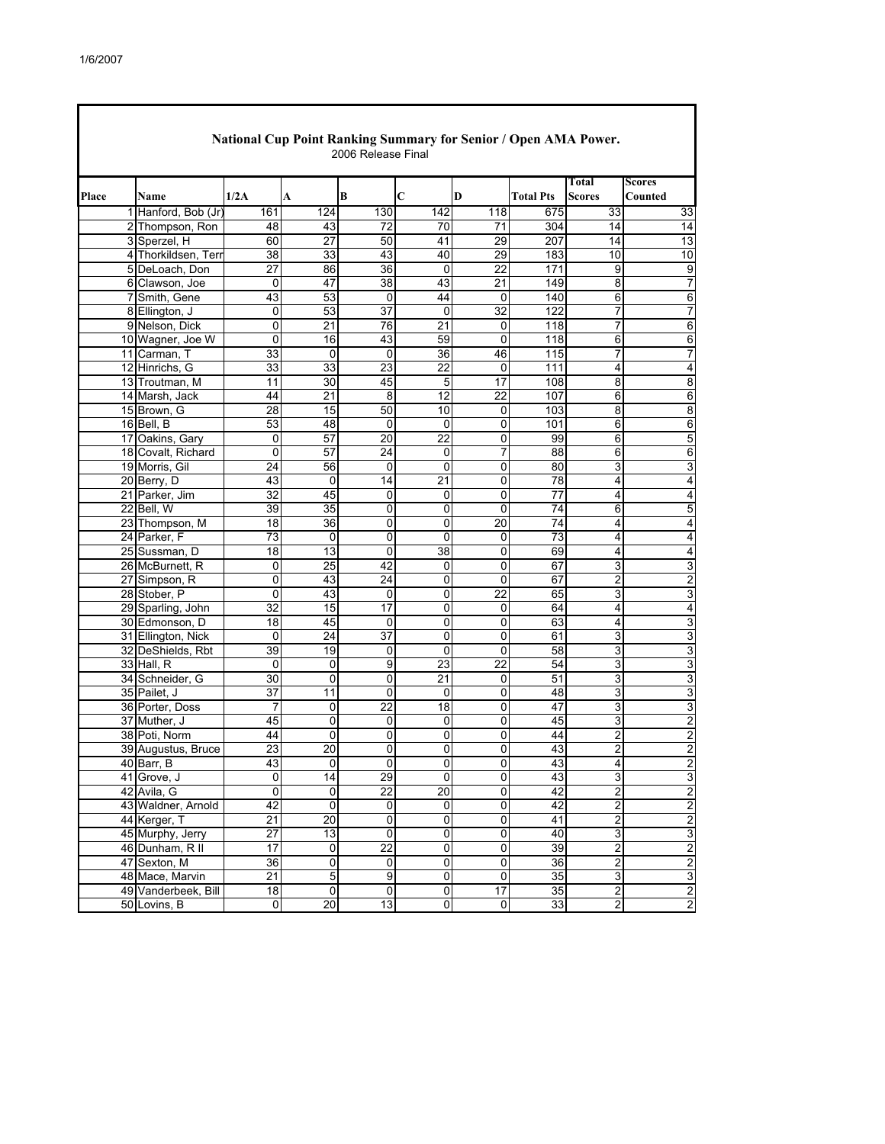Г

|       | National Cup Point Ranking Summary for Senior / Open AMA Power.<br>2006 Release Final |                                  |                      |             |                         |                     |                                  |                  |                        |                         |  |  |
|-------|---------------------------------------------------------------------------------------|----------------------------------|----------------------|-------------|-------------------------|---------------------|----------------------------------|------------------|------------------------|-------------------------|--|--|
| Place |                                                                                       | Name                             | 1/2A                 | A           | B                       | C                   | D                                | <b>Total Pts</b> | Total<br><b>Scores</b> | Scores<br>Counted       |  |  |
|       |                                                                                       | 1 Hanford, Bob (Jr)              | 161                  | 124         | 130                     | 142                 | 118                              | 675              | 33                     | 33                      |  |  |
|       |                                                                                       | 2 Thompson, Ron                  | 48                   | 43          | 72                      | 70                  | $\overline{71}$                  | 304              | 14                     | 14                      |  |  |
|       |                                                                                       | 3 Sperzel, H                     | 60                   | 27          | 50                      | 41                  | 29                               | 207              | 14                     | 13                      |  |  |
|       |                                                                                       | 4 Thorkildsen, Terr              | 38                   | 33          | 43                      | 40                  | 29                               | 183              | 10                     | 10                      |  |  |
|       |                                                                                       | 5 DeLoach, Don                   | 27                   | 86          | 36                      | $\Omega$            | $\overline{22}$                  | 171              | 9                      | $\overline{9}$          |  |  |
|       |                                                                                       | 6 Clawson, Joe                   | 0                    | 47          | 38                      | 43                  | $\overline{21}$                  | 149              | 8                      | 7                       |  |  |
|       |                                                                                       | 7 Smith, Gene                    | 43                   | 53          | 0                       | 44                  | 0                                | 140              | 6                      | 6                       |  |  |
|       |                                                                                       | 8 Ellington, J                   | 0                    | 53          | $\overline{37}$         | $\mathbf 0$         | 32                               | 122              | 7                      | $\overline{7}$          |  |  |
|       |                                                                                       | 9 Nelson, Dick                   | 0                    | 21          | 76                      | 21                  | 0                                | 118              | 7                      | $\overline{6}$          |  |  |
|       |                                                                                       | 10 Wagner, Joe W                 | 0                    | 16          | 43                      | 59                  | $\mathbf 0$                      | 118              | 6                      | 6                       |  |  |
|       |                                                                                       | 11 Carman, T                     | 33                   | 0           | 0                       | 36                  | 46                               | 115              | 7                      | 7                       |  |  |
|       |                                                                                       | 12 Hinrichs, G                   | 33                   | 33          | 23                      | 22                  | 0                                | 111              | 4                      | 4                       |  |  |
|       |                                                                                       | 13 Troutman, M                   | 11                   | 30          | 45                      | 5                   | $\overline{17}$                  | 108              | 8                      | 8                       |  |  |
|       |                                                                                       | 14 Marsh, Jack                   | 44                   | 21          | 8                       | 12                  | $\overline{22}$                  | $10\overline{7}$ | 6                      | $\,6$                   |  |  |
|       |                                                                                       | 15 Brown, G                      | 28                   | 15          | 50                      | 10                  | 0                                | 103              | 8                      | $\overline{8}$          |  |  |
|       |                                                                                       | 16 Bell, B                       | 53                   | 48          | $\mathbf 0$             | 0                   | 0                                | 101              | 6                      | $\overline{6}$          |  |  |
|       |                                                                                       | 17 Oakins, Gary                  | 0                    | 57          | 20                      | 22                  | 0                                | 99               | 6                      | 5                       |  |  |
|       |                                                                                       | 18 Covalt, Richard               | 0                    | 57          | 24                      | 0                   | 7                                | 88               | 6                      | $\overline{6}$          |  |  |
|       |                                                                                       | 19 Morris, Gil                   | 24                   | 56          | 0                       | 0                   | 0                                | 80               | 3                      | 3                       |  |  |
|       |                                                                                       | 20 Berry, D                      | 43                   | 0           | 14                      | 21                  | 0                                | 78               | 4                      | 4                       |  |  |
|       |                                                                                       | 21 Parker, Jim                   | $\overline{32}$      | 45          | 0                       | 0                   | 0                                | $\overline{77}$  | 4                      | $\overline{4}$          |  |  |
|       |                                                                                       | 22 Bell, W                       | 39                   | 35          | 0                       | 0                   | 0                                | 74               | 6                      | 5                       |  |  |
|       |                                                                                       | 23 Thompson, M                   | 18                   | 36          | 0                       | 0                   | 20                               | 74               | 4                      | 4                       |  |  |
|       |                                                                                       | 24 Parker, F                     | 73                   | 0           | 0                       | 0                   | 0                                | 73               | 4                      | $\overline{\mathbf{4}}$ |  |  |
|       |                                                                                       | 25 Sussman, D                    | 18                   | 13          | 0                       | 38                  | 0                                | 69               | 4                      | 4                       |  |  |
|       |                                                                                       | 26 McBurnett, R                  | 0                    | 25          | 42                      | 0                   | 0                                | 67               | 3                      | 3                       |  |  |
|       |                                                                                       | 27 Simpson, R                    | 0                    | 43          | 24                      | 0                   | 0                                | 67               | $\overline{2}$         | $\overline{2}$          |  |  |
|       |                                                                                       | 28 Stober, P                     | 0                    | 43          | 0                       | 0                   | 22                               | 65               | 3                      | 3                       |  |  |
|       |                                                                                       | 29 Sparling, John                | $\overline{32}$      | 15          | 17                      | 0                   | 0                                | 64               | $\overline{4}$         | $\overline{4}$          |  |  |
|       |                                                                                       | 30 Edmonson, D                   | $\overline{18}$      | 45          | 0                       | 0                   | 0                                | 63               | 4                      | 3                       |  |  |
|       |                                                                                       | 31 Ellington, Nick               | 0                    | 24          | $\overline{37}$         | 0                   | 0                                | 61               | 3                      | 3                       |  |  |
|       |                                                                                       | 32 DeShields, Rbt                | 39                   | 19          | $\Omega$                | 0                   | $\Omega$                         | 58               | 3                      | 3                       |  |  |
|       |                                                                                       | 33 Hall, R                       | 0                    | 0           | $\overline{9}$          | 23                  | $\overline{22}$                  | 54               | 3                      | 3                       |  |  |
|       |                                                                                       | 34 Schneider, G                  | 30                   | 0           | 0                       | 21                  | 0                                | 51               | 3                      | 3                       |  |  |
|       |                                                                                       | 35 Pailet, J                     | 37                   | 11          | $\overline{0}$<br>22    | 0<br>18             | 0                                | 48<br>47         | 3                      | 3                       |  |  |
|       |                                                                                       | 36 Porter, Doss                  | $\overline{7}$<br>45 | 0           |                         |                     | 0                                | 45               | 3                      | ω                       |  |  |
|       |                                                                                       | 37 Muther, J                     | 44                   | 0<br>0      | 0<br>0                  | 0<br>0              | 0<br>0                           | 44               | 3<br>$\overline{2}$    | $\overline{2}$          |  |  |
|       |                                                                                       | 38 Poti, Norm                    | 23                   |             | 0                       | 0                   | 0                                | 43               |                        | $\boldsymbol{2}$        |  |  |
|       |                                                                                       | 39 Augustus, Bruce<br>40 Barr, B |                      | 20          |                         |                     |                                  | 43               | 2                      | $\overline{2}$<br>2     |  |  |
|       |                                                                                       | 41 Grove, J                      | 43<br>$\overline{0}$ | 14          | $\overline{0}$<br>29    | 0<br>$\overline{0}$ | $\overline{0}$<br>$\overline{0}$ | 43               | 4<br>3                 | 3                       |  |  |
|       |                                                                                       | 42 Avila, G                      | $\mathbf 0$          | 0           | 22                      | 20                  | 0                                | 42               | $\overline{2}$         | $\overline{2}$          |  |  |
|       |                                                                                       | 43 Waldner, Arnold               | 42                   | 0           | o                       | 0                   | $\overline{0}$                   | 42               | $\overline{2}$         | $\overline{\mathbf{c}}$ |  |  |
|       |                                                                                       | 44 Kerger, T                     | $\overline{21}$      | 20          | $\mathbf 0$             | 0                   | 0                                | 41               | $\overline{2}$         | $\mathbf{p}$            |  |  |
|       |                                                                                       | 45 Murphy, Jerry                 | $\overline{27}$      | 13          | o                       | $\overline{0}$      | $\overline{0}$                   | 40               | $\overline{3}$         | 3                       |  |  |
|       |                                                                                       | 46 Dunham, R II                  | 17                   | 0           | $\overline{22}$         | 0                   | 0                                | 39               | $\overline{2}$         | $\mathbf{p}$            |  |  |
|       |                                                                                       | 47 Sexton, M                     | 36                   | 0           | $\mathbf 0$             | 0                   | 0                                | 36               | $\overline{2}$         | $\overline{2}$          |  |  |
|       |                                                                                       | 48 Mace, Marvin                  | 21                   | $\mathbf 5$ | 9                       | $\pmb{0}$           | $\pmb{0}$                        | 35               | $\overline{3}$         | 3                       |  |  |
|       |                                                                                       | 49 Vanderbeek, Bill              | 18                   | 0           | $\overline{\mathsf{o}}$ | $\pmb{0}$           | 17                               | 35               | $\overline{2}$         | $\overline{2}$          |  |  |
|       |                                                                                       | 50 Lovins, B                     | $\overline{0}$       | 20          | 13                      | 0                   | 0                                | 33               | 2                      | $\overline{2}$          |  |  |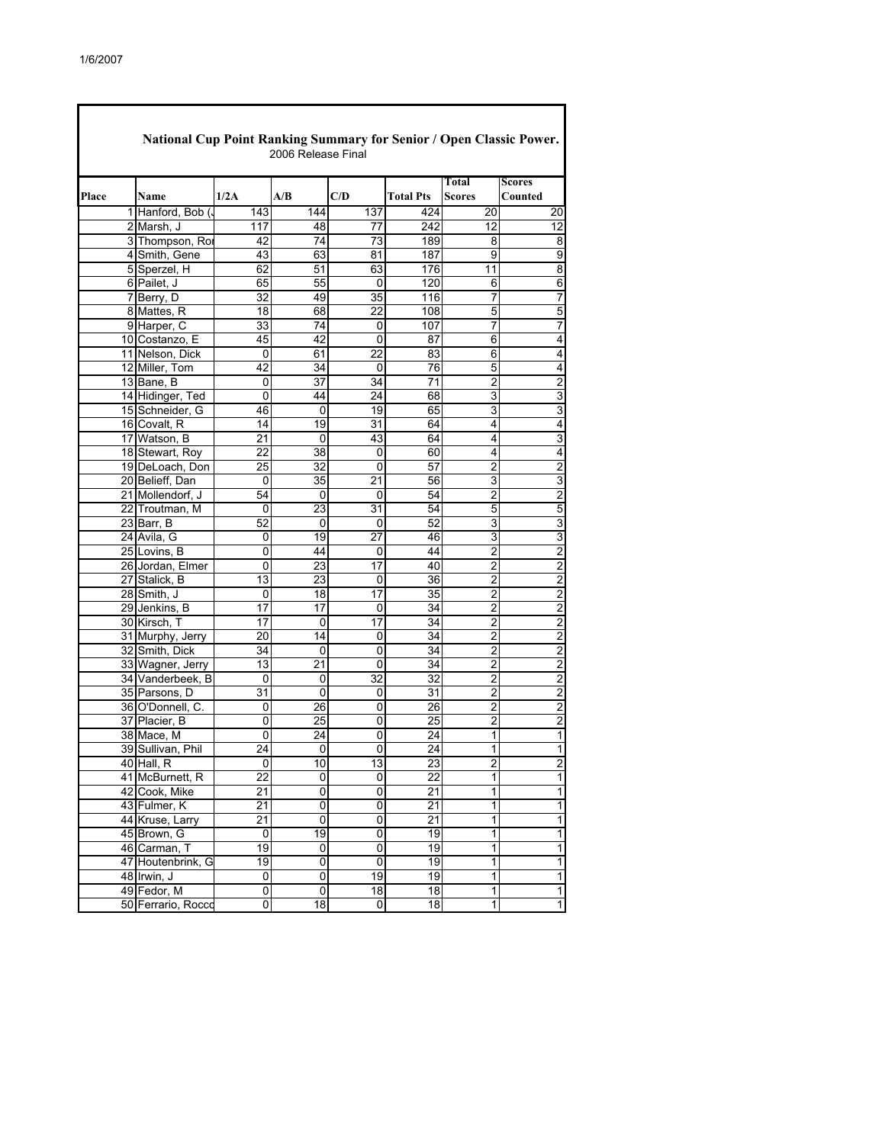| National Cup Point Ranking Summary for Senior / Open Classic Power.<br>2006 Release Final |                    |                 |                 |                 |                  |                         |                         |  |  |  |
|-------------------------------------------------------------------------------------------|--------------------|-----------------|-----------------|-----------------|------------------|-------------------------|-------------------------|--|--|--|
| Place                                                                                     | Name               | 1/2A            | A/B             | C/D             | <b>Total Pts</b> | Total<br>Scores         | Scores<br>Counted       |  |  |  |
|                                                                                           | 1 Hanford, Bob (   | 143             | 144             | 137             | 424              | 20                      | 20                      |  |  |  |
|                                                                                           | 2 Marsh, J         | 117             | 48              | 77              | 242              | 12                      | $\overline{12}$         |  |  |  |
|                                                                                           | 3 Thompson, Ror    | 42              | 74              | $\overline{73}$ | 189              | 8                       | 8                       |  |  |  |
|                                                                                           | 4 Smith, Gene      | 43              | 63              | 81              | 187              | 9                       | $\overline{9}$          |  |  |  |
|                                                                                           | 5 Sperzel, H       | 62              | 51              | 63              | 176              | 11                      | $\overline{8}$          |  |  |  |
|                                                                                           | 6 Pailet, J        | 65              | 55              | 0               | 120              | 6                       | $\overline{6}$          |  |  |  |
|                                                                                           | 7 Berry, D         | 32              | 49              | 35              | 116              | 7                       | $\overline{7}$          |  |  |  |
|                                                                                           | 8 Mattes, R        | 18              | 68              | 22              | 108              | 5                       | 5                       |  |  |  |
|                                                                                           | 9 Harper, C        | 33              | 74              | 0               | 107              | 7                       | $\overline{7}$          |  |  |  |
|                                                                                           | 10 Costanzo, E     | 45              | 42              | 0               | 87               | 6                       | 4                       |  |  |  |
|                                                                                           | 11 Nelson, Dick    | 0               | 61              | 22              | 83               | 6                       | 4                       |  |  |  |
|                                                                                           | 12 Miller, Tom     | 42              | 34              | 0               | 76               | 5                       | 4                       |  |  |  |
|                                                                                           | 13 Bane, B         | 0               | 37              | 34              | 71               | 2                       | $\overline{2}$          |  |  |  |
|                                                                                           | 14 Hidinger, Ted   | 0               | 44              | 24              | 68               | 3                       | $\overline{3}$          |  |  |  |
|                                                                                           | 15 Schneider, G    | 46              | 0               | 19              | 65               | 3                       | 3                       |  |  |  |
|                                                                                           | 16 Covalt, R       | 14              | 19              | 31              | 64               | 4                       | $\overline{\mathbf{4}}$ |  |  |  |
|                                                                                           | 17 Watson, B       | 21              | 0               | 43              | 64               | 4                       | 3                       |  |  |  |
|                                                                                           | 18 Stewart, Roy    | 22              | 38              | 0               | 60               | 4                       | $\overline{\mathbf{4}}$ |  |  |  |
|                                                                                           | 19 DeLoach, Don    | 25              | 32              | 0               | 57               | 2                       | $\overline{c}$          |  |  |  |
|                                                                                           | 20 Belieff, Dan    | 0               | $\overline{35}$ | 21              | 56               | 3                       | 3                       |  |  |  |
|                                                                                           | 21 Mollendorf, J   | 54              | 0               | 0               | 54               | 2                       | $\overline{2}$          |  |  |  |
|                                                                                           | 22 Troutman, M     | 0               | 23              | 31              | 54               | 5                       | $\overline{5}$          |  |  |  |
|                                                                                           | 23 Barr, B         | 52              | 0               | 0               | 52               | 3                       | $\overline{3}$          |  |  |  |
|                                                                                           | 24 Avila, G        | 0               | 19              | 27              | 46               | 3                       | $\overline{3}$          |  |  |  |
|                                                                                           | 25 Lovins, B       | 0               | 44              | 0               | 44               | $\overline{2}$          | $\overline{2}$          |  |  |  |
|                                                                                           | 26 Jordan, Elmer   | 0               | 23              | 17              | 40               | $\overline{2}$          | $\overline{\mathbf{c}}$ |  |  |  |
|                                                                                           | 27 Stalick, B      | 13              | 23              | 0               | 36               | 2                       | $\overline{2}$          |  |  |  |
|                                                                                           | 28 Smith, J        | 0               | 18              | 17              | 35               | $\overline{2}$          | $\overline{c}$          |  |  |  |
|                                                                                           | 29 Jenkins, B      | 17              | 17              | 0               | 34               | 2                       | $\overline{2}$          |  |  |  |
|                                                                                           | 30 Kirsch, T       | 17              | 0               | 17              | 34               | $\overline{2}$          | $\overline{\mathbf{c}}$ |  |  |  |
|                                                                                           | 31 Murphy, Jerry   | 20              | 14              | 0               | 34               | 2                       | $\overline{2}$          |  |  |  |
|                                                                                           | 32 Smith, Dick     | 34              | 0               | 0               | 34               | 2                       | $\overline{2}$          |  |  |  |
|                                                                                           | 33 Wagner, Jerry   | 13              | 21              | 0               | 34               | $\overline{2}$          | $\overline{2}$          |  |  |  |
|                                                                                           | 34 Vanderbeek, B   | 0               | 0               | 32              | 32               | $\overline{2}$          | $\overline{\mathbf{c}}$ |  |  |  |
|                                                                                           | 35 Parsons, D      | 31              | 0               | 0               | 31               | 2                       | $\overline{2}$          |  |  |  |
|                                                                                           | 36 O'Donnell, C.   | 0               | 26              | 0               | 26               | $\overline{2}$          | $\overline{2}$          |  |  |  |
|                                                                                           | 37 Placier, B      | 0               | 25              | 0               | 25               | $\overline{\mathbf{c}}$ | $\overline{2}$          |  |  |  |
|                                                                                           | 38 Mace, M         | 0               | 24              | 0               | 24               | 1                       | $\mathbf{1}$            |  |  |  |
|                                                                                           | 39 Sullivan, Phil  | 24              | 0               | 0               | 24               | 1                       | $\mathbf{1}$            |  |  |  |
|                                                                                           | 40 Hall, R         | 0               | 10              | 13              | 23               | 2                       | $\overline{z}$          |  |  |  |
|                                                                                           | 41 McBurnett, R    | $\overline{22}$ | 0               | 0               | $\overline{22}$  | 1                       | $\overline{1}$          |  |  |  |
|                                                                                           | 42 Cook, Mike      | 21              | 0               | 0               | 21               | 1                       | $\overline{\mathbf{1}}$ |  |  |  |
|                                                                                           | 43 Fulmer, K       | 21              | $\pmb{0}$       | 0               | 21               | 1                       | $\overline{1}$          |  |  |  |
|                                                                                           | 44 Kruse, Larry    | $\overline{21}$ | 0               | 0               | 21               | 1                       | $\overline{1}$          |  |  |  |
|                                                                                           | 45 Brown, G        | 0               | $\overline{19}$ | $\overline{0}$  | 19               | $\overline{1}$          | $\overline{\mathbf{1}}$ |  |  |  |
|                                                                                           | 46 Carman, T       | 19              | 0               | 0               | 19               | 1                       | 1                       |  |  |  |
|                                                                                           | 47 Houtenbrink, G  | 19              | 0               | $\overline{0}$  | 19               | 1                       | $\overline{\mathbf{1}}$ |  |  |  |
|                                                                                           | 48 Irwin. J        | 0               | 0               | 19              | 19               | 1                       | 1                       |  |  |  |
|                                                                                           | 49 Fedor, M        | 0               | 0               | 18              | 18               | 1                       | $\mathbf 1$             |  |  |  |
|                                                                                           | 50 Ferrario, Rocco | 0               | 18              | 0               | 18               | $\mathbf{1}$            | $\mathbf{1}$            |  |  |  |

٦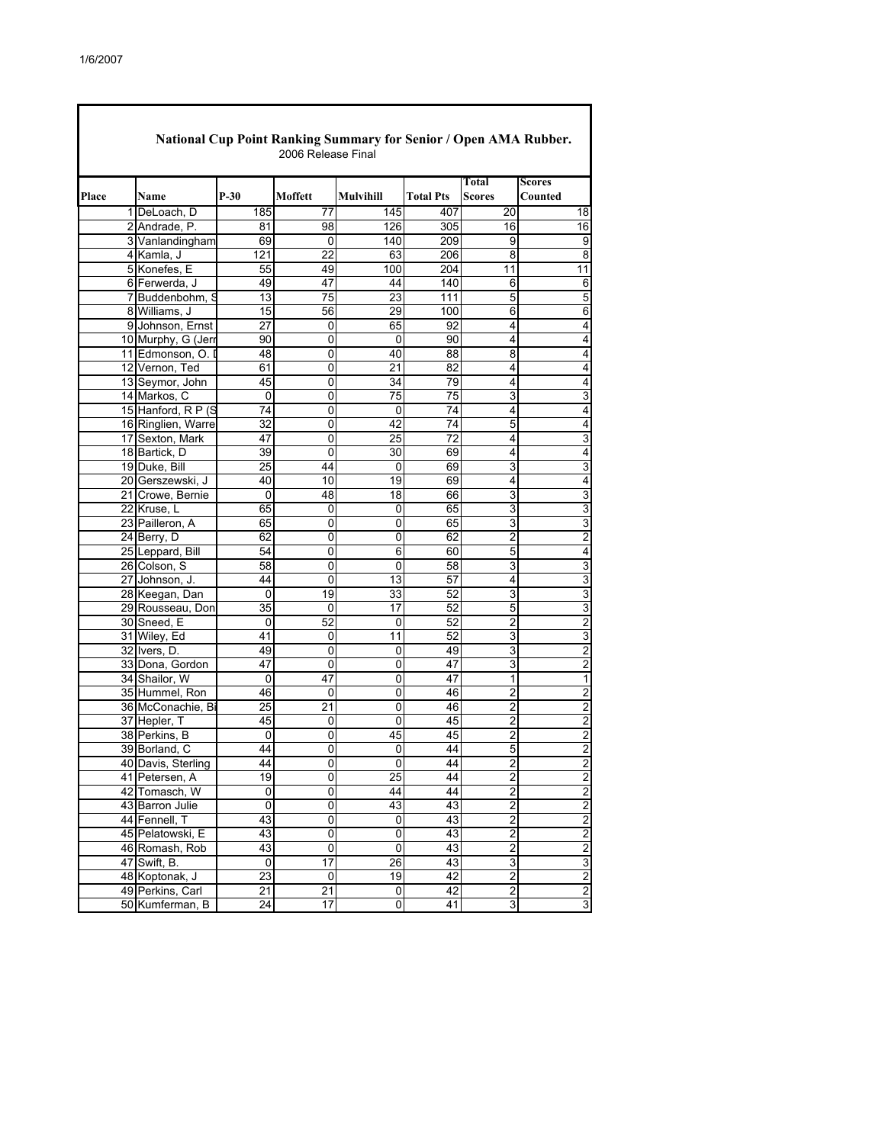$\mathbf I$ 

|       |                    |                 |                 |                |                  | Total                   | Scores                  |
|-------|--------------------|-----------------|-----------------|----------------|------------------|-------------------------|-------------------------|
| Place | Name               | P-30            | Moffett         | Mulvihill      | <b>Total Pts</b> | Scores                  | Counted                 |
|       | 1 DeLoach, D       | 185             | 77              | 145            | 407              | 20                      | 18                      |
|       | 2 Andrade, P.      | 81              | 98              | 126            | 305              | 16                      | 16                      |
|       | 3 Vanlandingham    | 69              | 0               | 140            | 209              | 9                       | 9                       |
|       | 4 Kamla, J         | 121             | 22              | 63             | 206              | 8                       | 8                       |
|       | 5 Konefes, E       | 55              | 49              | 100            | 204              | $\overline{11}$         | 11                      |
|       | 6 Ferwerda, J      | 49              | 47              | 44             | 140              | 6                       | 6                       |
|       | 7 Buddenbohm, S    | 13              | $\overline{75}$ | 23             | 111              | 5                       | 5                       |
|       | 8 Williams, J      | 15              | 56              | 29             | 100              | 6                       | 6                       |
|       | 9 Johnson, Ernst   | 27              | 0               | 65             | 92               | 4                       | 4                       |
|       | 10 Murphy, G (Jerr | 90              | 0               | $\mathbf{0}$   | 90               | 4                       | 4                       |
|       | 11 Edmonson, O. D  | 48              | 0               | 40             | 88               | 8                       | 4                       |
|       | 12 Vernon, Ted     | 61              | 0               | 21             | 82               | 4                       | 4                       |
|       | 13 Seymor, John    | 45              | 0               | 34             | 79               | 4                       | 4                       |
|       | 14 Markos, C       | 0               | 0               | 75             | 75               | 3                       | 3                       |
|       | 15 Hanford, R P (S | 74              | 0               | 0              | 74               | 4                       | 4                       |
|       | 16 Ringlien, Warre | 32              | 0               | 42             | 74               | 5                       | 4                       |
|       | 17 Sexton, Mark    | 47              | 0               | 25             | 72               | 4                       | 3                       |
|       | 18 Bartick, D      | 39              | 0               | 30             | 69               | 4                       | 4                       |
|       | 19 Duke, Bill      | $\overline{25}$ | 44              | 0              | 69               | 3                       | 3                       |
|       | 20 Gerszewski, J   | 40              | 10              | 19             | 69               | 4                       | 4                       |
|       | 21 Crowe, Bernie   | 0               | 48              | 18             | 66               | 3                       | 3                       |
|       | 22 Kruse, L        | 65              | 0               | 0              | 65               | 3                       | 3                       |
|       | 23 Pailleron, A    | 65              | 0               | 0              | 65               | 3                       | 3                       |
|       | 24 Berry, D        | 62              | 0               | 0              | 62               | $\overline{2}$          | 2                       |
|       | 25 Leppard, Bill   | 54              | 0               | 6              | 60               | 5                       | 4                       |
|       | 26 Colson, S       | 58              | 0               | 0              | 58               | 3                       | 3                       |
|       | 27 Johnson, J.     | 44              | 0               | 13             | 57               | 4                       | 3                       |
|       | 28 Keegan, Dan     | 0               | $\overline{19}$ | 33             | 52               | 3                       | 3                       |
|       | 29 Rousseau, Don   | 35              | $\mathbf{0}$    | 17             | 52               | 5                       | 3                       |
|       | 30 Sneed, E        | 0               | 52              | 0              | 52               | $\overline{2}$          | 2                       |
|       | 31 Wiley, Ed       | 41              | 0               | 11             | 52               | 3                       | 3                       |
|       | 32 Ivers, D.       | 49              | $\overline{0}$  | 0              | 49               | 3                       | 2                       |
|       | 33 Dona, Gordon    | 47              | 0               | 0              | 47               | 3                       | $\overline{c}$          |
|       | 34 Shailor, W      | 0               | 47              | $\overline{0}$ | 47               | 1                       | 1                       |
|       | 35 Hummel, Ron     | 46              | 0               | 0              | 46               | $\overline{2}$          | 2                       |
|       | 36 McConachie, Bi  | 25              | 21              | 0              | 46               | $\overline{\mathbf{c}}$ | $\overline{\mathbf{c}}$ |
|       | 37 Hepler, T       | 45              | 0               | $\mathbf 0$    | 45               | $\overline{2}$          | $\overline{2}$          |
|       | 38 Perkins, B      | 0               | 0               | 45             | 45               | 2                       | 2                       |
|       | 39 Borland, C      | 44              | 0               | 0              | 44               | 5                       | $\overline{c}$          |
|       | 40 Davis, Sterling | 44              | 0               | $\overline{0}$ | 44               | $\overline{2}$          | $\overline{c}$          |
|       | 41 Petersen, A     | 19              | $\overline{0}$  | 25             | 44               | 2                       | 2                       |
|       | 42 Tomasch, W      | 0               | $\overline{0}$  | 44             | 44               | 2                       | $\overline{c}$          |
|       | 43 Barron Julie    | 0               | 0               | 43             | 43               | 2                       | $\overline{c}$          |
|       | 44 Fennell, T      | 43              | 0               | 0              | 43               | 2                       | $\overline{\mathbf{c}}$ |
|       | 45 Pelatowski, E   | 43              | $\overline{0}$  | 0              | 43               | $\overline{2}$          | $\overline{2}$          |
|       | 46 Romash, Rob     | 43              | $\overline{0}$  | $\overline{0}$ | 43               | 2                       | 2                       |
|       | 47 Swift, B.       | 0               | $\overline{17}$ | 26             | 43               | 3                       | 3                       |
|       | 48 Koptonak, J     | 23              | 0               | 19             | 42               | $\overline{\mathbf{c}}$ | $\overline{c}$          |
|       | 49 Perkins, Carl   | 21              | 21              | 0              | 42               | $\overline{2}$          | $\overline{c}$          |
|       | 50 Kumferman, B    | $\overline{2}4$ | 17              | 0              | 41               | 3                       | 3                       |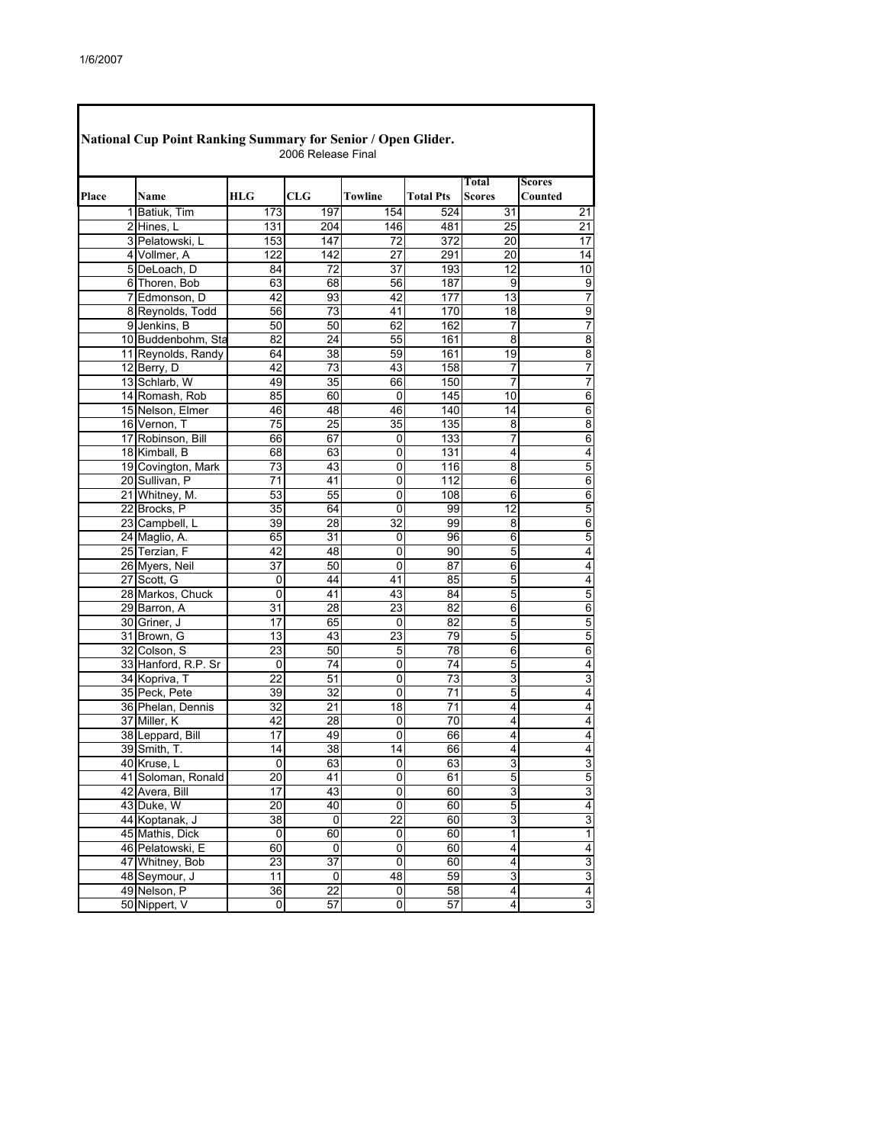| National Cup Point Ranking Summary for Senior / Open Glider.<br>2006 Release Final |                     |                     |                 |         |                  |                 |                          |  |  |  |
|------------------------------------------------------------------------------------|---------------------|---------------------|-----------------|---------|------------------|-----------------|--------------------------|--|--|--|
| Place                                                                              | Name                | HLG                 | CLG             | Towline | <b>Total Pts</b> | Total<br>Scores | <b>Scores</b><br>Counted |  |  |  |
| 11                                                                                 | Batiuk, Tim         | 173                 | 197             | 154     | 524              | 31              | 21                       |  |  |  |
|                                                                                    | 2 Hines, L          | 131                 | 204             | 146     | 481              | 25              | 21                       |  |  |  |
|                                                                                    | 3 Pelatowski, L     | 153                 | 147             | 72      | 372              | 20              | 17                       |  |  |  |
|                                                                                    | 4 Vollmer, A        | 122                 | 142             | 27      | 291              | 20              | 14                       |  |  |  |
|                                                                                    | 5 DeLoach, D        | 84                  | 72              | 37      | 193              | 12              | 10                       |  |  |  |
|                                                                                    | 6 Thoren, Bob       | 63                  | 68              | 56      | 187              | 9               | 9                        |  |  |  |
|                                                                                    | 7 Edmonson, D       | 42                  | 93              | 42      | 177              | 13              | 7                        |  |  |  |
|                                                                                    | 8 Reynolds, Todd    | 56                  | 73              | 41      | 170              | 18              | 9                        |  |  |  |
|                                                                                    | 9 Jenkins, B        | 50                  | 50              | 62      | 162              | 7               | 7                        |  |  |  |
|                                                                                    | 10 Buddenbohm, Sta  | 82                  | 24              | 55      | 161              | 8               | 8                        |  |  |  |
|                                                                                    | 11 Reynolds, Randy  | 64                  | 38              | 59      | 161              | 19              | 8                        |  |  |  |
|                                                                                    | 12 Berry, D         | 42                  | 73              | 43      | 158              | 7               | 7                        |  |  |  |
|                                                                                    | 13 Schlarb, W       | 49                  | 35              | 66      | 150              | $\overline{7}$  | 7                        |  |  |  |
|                                                                                    | 14 Romash, Rob      | 85                  | 60              | 0       | 145              | 10              | 6                        |  |  |  |
|                                                                                    | 15 Nelson, Elmer    | 46                  | 48              | 46      | 140              | 14              | 6                        |  |  |  |
|                                                                                    | 16 Vernon, T        | 75                  | 25              | 35      | 135              | 8               | 8                        |  |  |  |
|                                                                                    | 17 Robinson, Bill   | 66                  | 67              | 0       | 133              | 7               | 6                        |  |  |  |
|                                                                                    | 18 Kimball, B       | 68                  | 63              | 0       | 131              | 4               | 4                        |  |  |  |
|                                                                                    | 19 Covington, Mark  | 73                  | 43              | 0       | 116              | 8               | 5                        |  |  |  |
|                                                                                    | 20 Sullivan, P      | 71                  | 41              | 0       | 112              | 6               | 6                        |  |  |  |
|                                                                                    | 21 Whitney, M.      | 53                  | 55              | 0       | 108              | 6               | 6                        |  |  |  |
|                                                                                    | 22 Brocks, P        | 35                  | 64              | 0       | 99               | 12              | 5                        |  |  |  |
|                                                                                    | 23 Campbell, L      | 39                  | 28              | 32      | 99               | 8               | 6                        |  |  |  |
|                                                                                    | 24 Maglio, A.       | 65                  | 31              | 0       | 96               | 6               | 5                        |  |  |  |
|                                                                                    | 25 Terzian, F       | 42                  | 48              | 0       | 90               | 5               | 4                        |  |  |  |
|                                                                                    | 26 Myers, Neil      | 37                  | 50              | 0       | 87               | 6               | 4                        |  |  |  |
|                                                                                    | 27 Scott, G         | 0                   | 44              | 41      | 85               | 5               | 4                        |  |  |  |
|                                                                                    | 28 Markos, Chuck    | 0                   | 41              | 43      | 84               | 5               | 5                        |  |  |  |
|                                                                                    | 29 Barron, A        | 31                  | 28              | 23      | 82               | 6               | 6                        |  |  |  |
|                                                                                    | 30 Griner, J        | 17                  | 65              | 0       | 82               | $\overline{5}$  | 5                        |  |  |  |
|                                                                                    | 31 Brown, G         | 13                  | 43              | 23      | 79               | $\overline{5}$  | 5                        |  |  |  |
|                                                                                    | 32 Colson, S        | 23                  | 50              | 5       | 78               | 6               | 6                        |  |  |  |
|                                                                                    | 33 Hanford, R.P. Sr | 0                   | 74              | 0       | 74               | 5               | 4                        |  |  |  |
|                                                                                    | 34 Kopriva, T       | $\overline{22}$     | 51              | 0       | $\overline{73}$  | 3               | 3                        |  |  |  |
|                                                                                    | 35 Peck, Pete       | 39                  | 32              | 0       | 71               | 5               | 4                        |  |  |  |
|                                                                                    | 36 Phelan, Dennis   | 32                  | 21              | 18      | 71               | 4               | 4                        |  |  |  |
|                                                                                    | 37 Miller, K        | 42                  | 28              | 0       | 70               | 4               | $\overline{4}$           |  |  |  |
|                                                                                    | 38 Leppard, Bill    | 17                  | 49              | 0       | 66               | 4               | 4                        |  |  |  |
|                                                                                    | 39 Smith, T.        | 14                  | 38              | 14      | 66               | 4               | 4                        |  |  |  |
|                                                                                    | 40 Kruse, L         | $\overline{0}$      | 63              | 0       | 63               | $\overline{3}$  | 3                        |  |  |  |
|                                                                                    | 41 Soloman, Ronald  | 20                  | 41              | 0       | 61               | 5               | 5                        |  |  |  |
|                                                                                    | 42 Avera, Bill      | 17                  | 43              | 0       | 60               | 3               | 3                        |  |  |  |
|                                                                                    | 43 Duke, W          | 20                  | 40              | 0       | 60               | 5               | 4                        |  |  |  |
|                                                                                    | 44 Koptanak, J      | 38                  | 0               | 22      | 60               | 3               | 3                        |  |  |  |
|                                                                                    | 45 Mathis, Dick     | 0                   | 60              | 0       | 60               | $\overline{1}$  | 1                        |  |  |  |
|                                                                                    | 46 Pelatowski, E    | 60                  | 0               | 0       | 60               | 4               | 4                        |  |  |  |
|                                                                                    | 47 Whitney, Bob     | 23                  | $\overline{37}$ | 0       | 60               | 4               | 3                        |  |  |  |
|                                                                                    | 48 Seymour, J       | 11                  | 0               | 48      | 59               | $\overline{3}$  | 3                        |  |  |  |
|                                                                                    | 49 Nelson, P        | 36                  | 22              | 0       | 58               | 4               | 4                        |  |  |  |
|                                                                                    | 50 Nippert, V       | $\mathsf{O}\xspace$ | 57              | 0       | 57               | 4               | 3                        |  |  |  |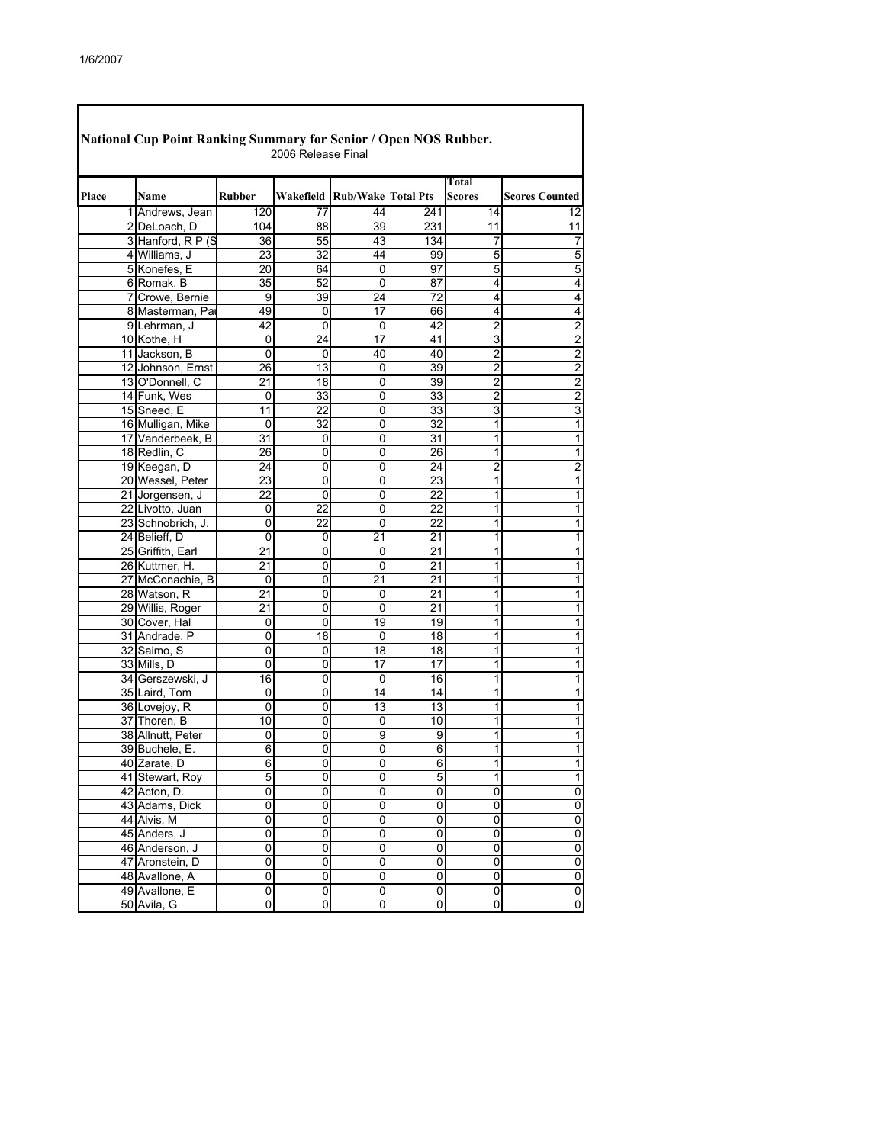| <b>National Cup Point Ranking Summary for Senior / Open NOS Rubber.</b><br>2006 Release Final |                                       |                 |                |                              |                 |                        |                |  |  |
|-----------------------------------------------------------------------------------------------|---------------------------------------|-----------------|----------------|------------------------------|-----------------|------------------------|----------------|--|--|
| Place                                                                                         | Name                                  | <b>Rubber</b>   |                | Wakefield Rub/Wake Total Pts |                 | Total<br><b>Scores</b> | Scores Counted |  |  |
|                                                                                               | 1 Andrews, Jean                       | 120             | 77             | 44                           | 241             | 14                     | 12             |  |  |
|                                                                                               | 2 DeLoach, D                          | 104             | 88             | 39                           | 231             | 11                     | 11             |  |  |
|                                                                                               | 3 Hanford, R P (S                     | 36              | 55             | 43                           | 134             | 7                      | 7              |  |  |
|                                                                                               | 4 Williams, J                         | 23              | 32             | 44                           | 99              | 5                      | 5              |  |  |
|                                                                                               | 5 Konefes, E                          | $\overline{20}$ | 64             | 0                            | 97              | 5                      | 5              |  |  |
|                                                                                               | 6 Romak, B                            | 35              | 52             | 0                            | 87              | 4                      | 4              |  |  |
|                                                                                               | 7 Crowe, Bernie                       | 9               | 39             | 24                           | 72              | 4                      | 4              |  |  |
|                                                                                               | 8 Masterman, Par                      | 49              | 0              | 17                           | 66              | 4                      | 4              |  |  |
|                                                                                               | 9 Lehrman, J                          | 42              | 0              | 0                            | 42              | $\overline{2}$         | $\overline{2}$ |  |  |
|                                                                                               | 10 Kothe, H                           | 0               | 24             | 17                           | 41              | 3                      | 2              |  |  |
|                                                                                               | 11 Jackson, B                         | 0               | 0              | 40                           | 40              | 2                      | $\overline{c}$ |  |  |
|                                                                                               | 12 Johnson, Ernst                     | 26              | 13             | 0                            | 39              | $\overline{2}$         | $\overline{a}$ |  |  |
|                                                                                               | 13 O'Donnell, C                       | 21              | 18             | 0                            | 39              | 2                      | 2              |  |  |
|                                                                                               |                                       |                 | 33             | 0                            |                 | 2                      |                |  |  |
|                                                                                               | 14 Funk, Wes<br>15 Sneed, E           | 0<br>11         | 22             | 0                            | 33<br>33        | 3                      | 2<br>3         |  |  |
|                                                                                               |                                       |                 |                |                              |                 | 1                      |                |  |  |
|                                                                                               | 16 Mulligan, Mike<br>17 Vanderbeek, B | 0               | 32             | 0                            | 32              |                        | 1              |  |  |
|                                                                                               |                                       | 31              | 0              | 0                            | 31              | 1                      | 1              |  |  |
|                                                                                               | 18 Redlin, C                          | 26              | 0              | 0                            | 26              | 1                      | 1              |  |  |
|                                                                                               | 19 Keegan, D                          | 24              | 0              | 0                            | 24              | 2                      | $\overline{a}$ |  |  |
|                                                                                               | 20 Wessel, Peter                      | $\overline{23}$ | 0              | 0                            | 23              | 1                      | 1              |  |  |
|                                                                                               | 21 Jorgensen, J                       | 22              | 0              | 0                            | 22              | 1                      | 1              |  |  |
|                                                                                               | 22 Livotto, Juan                      | 0               | 22             | 0                            | 22              | 1                      | 1              |  |  |
|                                                                                               | 23 Schnobrich, J.                     | 0               | 22             | 0                            | 22              | 1                      | 1              |  |  |
|                                                                                               | 24 Belieff, D                         | 0               | 0              | 21                           | 21              | 1                      | 1              |  |  |
|                                                                                               | 25 Griffith, Earl                     | 21              | 0              | 0                            | 21              | 1                      | 1              |  |  |
|                                                                                               | 26 Kuttmer, H.                        | 21              | 0              | 0                            | 21              | 1                      | 1              |  |  |
|                                                                                               | 27 McConachie, B                      | 0               | 0              | 21                           | 21              | 1                      | 1              |  |  |
|                                                                                               | 28 Watson, R                          | 21              | 0              | 0                            | $\overline{21}$ | 1                      | 1              |  |  |
|                                                                                               | 29 Willis, Roger                      | 21              | 0              | 0                            | 21              | 1                      | 1              |  |  |
|                                                                                               | 30 Cover, Hal                         | 0               | 0              | 19                           | 19              | 1                      | 1              |  |  |
|                                                                                               | 31 Andrade, P                         | 0               | 18             | 0                            | $\overline{18}$ | 1                      | 1              |  |  |
|                                                                                               | 32 Saimo, S                           | 0               | 0              | 18                           | 18              | 1                      | 1              |  |  |
|                                                                                               | 33 Mills, D                           | 0               | 0              | 17                           | 17              | 1                      | 1              |  |  |
|                                                                                               | 34 Gerszewski, J                      | 16              | 0              | 0                            | 16              | 1                      | 1              |  |  |
|                                                                                               | 35 Laird, Tom                         | 0               | 0              | 14                           | 14              | 1                      | 1              |  |  |
|                                                                                               | 36 Lovejoy, R                         | 0               | 0              | 13                           | 13              | 1                      | 1              |  |  |
|                                                                                               | 37 Thoren, B                          | 10              | 0              | 0                            | 10              | 1                      | 1              |  |  |
|                                                                                               | 38 Allnutt, Peter                     | 0               | 0              | 9                            | 9               | 1                      | 1              |  |  |
|                                                                                               | 39 Buchele, E.                        | 6               | 0              | 0                            | 6               | 1                      | 1              |  |  |
|                                                                                               | 40 Zarate, D                          | 6               | 0              | 0                            | 6               | 1                      | 1              |  |  |
|                                                                                               | 41 Stewart, Roy                       | 5               | 0              | 0                            | 5               | 1                      | 1              |  |  |
|                                                                                               | 42 Acton, D.                          | 0               | 0              | 0                            | 0               | 0                      | 0              |  |  |
|                                                                                               | 43 Adams, Dick                        | $\overline{0}$  | $\overline{0}$ | 0                            | $\overline{0}$  | $\overline{0}$         | 0              |  |  |
|                                                                                               | 44 Alvis, M                           | $\overline{0}$  | 0              | 0                            | 0               | $\overline{0}$         | 0              |  |  |
|                                                                                               | 45 Anders, J                          | $\overline{0}$  | 0              | $\overline{0}$               | $\overline{0}$  | $\overline{0}$         | 0              |  |  |
|                                                                                               | 46 Anderson, J                        | 0               | 0              | 0                            | 0               | 0                      | 0              |  |  |
|                                                                                               | 47 Aronstein, D                       | $\overline{0}$  | 0              | 0                            | $\overline{0}$  | $\overline{0}$         | 0              |  |  |
|                                                                                               | 48 Avallone, A                        | 0               | 0              | 0                            | 0               | 0                      | 0              |  |  |
|                                                                                               | 49 Avallone, E                        | 0               | 0              | 0                            | 0               | 0                      | 0              |  |  |
|                                                                                               | 50 Avila, G                           | 0               | 0              | 0                            | 0               | 0                      | $\mathbf 0$    |  |  |
|                                                                                               |                                       |                 |                |                              |                 |                        |                |  |  |